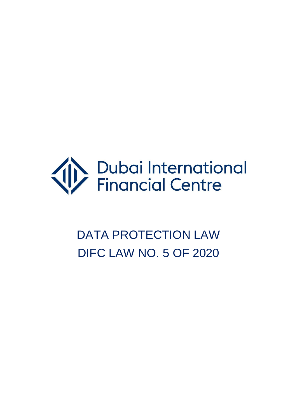

# DATA PROTECTION LAW DIFC LAW NO. 5 OF 2020

.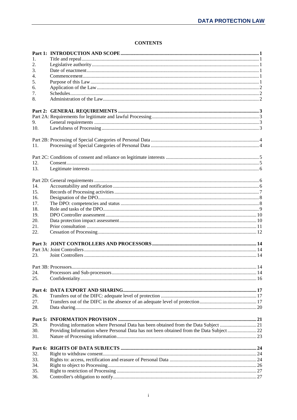## **CONTENTS**

| 1.  |                                                                                          |  |
|-----|------------------------------------------------------------------------------------------|--|
|     |                                                                                          |  |
| 2.  |                                                                                          |  |
| 3.  |                                                                                          |  |
| 4.  |                                                                                          |  |
| 5.  |                                                                                          |  |
| 6.  |                                                                                          |  |
| 7.  |                                                                                          |  |
| 8.  |                                                                                          |  |
|     |                                                                                          |  |
|     |                                                                                          |  |
|     |                                                                                          |  |
| 9.  |                                                                                          |  |
| 10. |                                                                                          |  |
|     |                                                                                          |  |
|     |                                                                                          |  |
| 11. |                                                                                          |  |
|     |                                                                                          |  |
|     |                                                                                          |  |
| 12. |                                                                                          |  |
| 13. |                                                                                          |  |
|     |                                                                                          |  |
|     |                                                                                          |  |
| 14. |                                                                                          |  |
| 15. |                                                                                          |  |
| 16. |                                                                                          |  |
| 17. |                                                                                          |  |
| 18. |                                                                                          |  |
| 19. |                                                                                          |  |
| 20. |                                                                                          |  |
| 21. |                                                                                          |  |
|     |                                                                                          |  |
| 22. |                                                                                          |  |
|     |                                                                                          |  |
|     |                                                                                          |  |
| 23. |                                                                                          |  |
|     |                                                                                          |  |
|     |                                                                                          |  |
|     |                                                                                          |  |
| 24. |                                                                                          |  |
| 25. |                                                                                          |  |
|     |                                                                                          |  |
| 26. |                                                                                          |  |
| 27. |                                                                                          |  |
|     |                                                                                          |  |
| 28. |                                                                                          |  |
|     |                                                                                          |  |
| 29. | Providing information where Personal Data has been obtained from the Data Subject 21     |  |
|     |                                                                                          |  |
| 30. | Providing Information where Personal Data has not been obtained from the Data Subject 22 |  |
| 31. |                                                                                          |  |
|     |                                                                                          |  |
|     |                                                                                          |  |
| 32. |                                                                                          |  |
| 33. |                                                                                          |  |
| 34. |                                                                                          |  |
| 35. |                                                                                          |  |
| 36. |                                                                                          |  |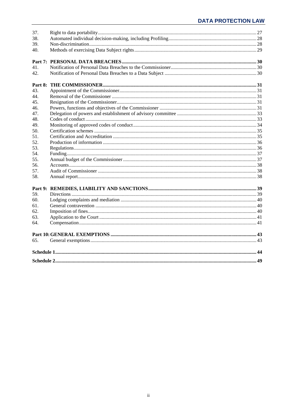| 37.<br>38.<br>39.<br>40.<br>41.<br>42. |  |
|----------------------------------------|--|
| Part 8:                                |  |
| 43.                                    |  |
| 44.                                    |  |
| 45.                                    |  |
| 46.                                    |  |
| 47.                                    |  |
| 48.                                    |  |
| 49.                                    |  |
| 50.                                    |  |
| 51.                                    |  |
| 52.                                    |  |
| 53.                                    |  |
| 54.                                    |  |
| 55.                                    |  |
| 56.                                    |  |
| 57.                                    |  |
| 58.                                    |  |
|                                        |  |
| 59.                                    |  |
| 60.                                    |  |
| 61.                                    |  |
| 62.                                    |  |
| 63.                                    |  |
| 64.                                    |  |
|                                        |  |
| 65.                                    |  |
|                                        |  |
|                                        |  |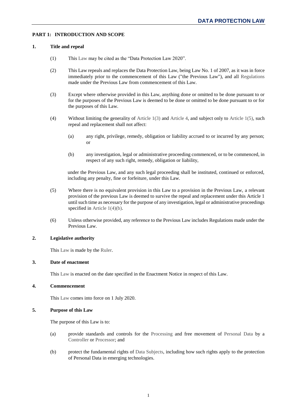## <span id="page-3-1"></span><span id="page-3-0"></span>**PART 1: INTRODUCTION AND SCOPE**

## **1. Title and repeal**

- (1) This [Law](#page-48-0) may be cited as the "Data Protection Law 2020".
- (2) This Law repeals and replaces the Data Protection Law, being Law No. 1 of 2007, as it was in force immediately prior to the commencement of this Law ("the Previous Law"), and all [Regulations](#page-49-0) made under the Previous Law from commencement of this Law.
- <span id="page-3-6"></span>(3) Except where otherwise provided in this Law, anything done or omitted to be done pursuant to or for the purposes of the Previous Law is deemed to be done or omitted to be done pursuant to or for the purposes of this Law.
- <span id="page-3-8"></span>(4) Without limiting the generality of [Article 1\(3\)](#page-3-6) and [Article 4,](#page-3-4) and subject only to [Article 1\(5\),](#page-3-7) such repeal and replacement shall not affect:
	- (a) any right, privilege, remedy, obligation or liability accrued to or incurred by any person; or
	- (b) any investigation, legal or administrative proceeding commenced, or to be commenced, in respect of any such right, remedy, obligation or liability,

under the Previous Law, and any such legal proceeding shall be instituted, continued or enforced, including any penalty, fine or forfeiture, under this Law.

- <span id="page-3-7"></span>(5) Where there is no equivalent provision in this Law to a provision in the Previous Law, a relevant provision of the previous Law is deemed to survive the repeal and replacement under this Article 1 until such time as necessary for the purpose of any investigation, legal or administrative proceedings specified in Article 1(4)(b).
- (6) Unless otherwise provided, any reference to the Previous Law includes Regulations made under the Previous Law.

## <span id="page-3-2"></span>**2. Legislative authority**

This [Law](#page-48-0) is made by the [Ruler.](#page-49-1)

#### <span id="page-3-3"></span>**3. Date of enactment**

This [Law](#page-48-0) is enacted on the date specified in the Enactment Notice in respect of this Law.

## <span id="page-3-4"></span>**4. Commencement**

This [Law](#page-48-0) comes into force on 1 July 2020.

## <span id="page-3-5"></span>**5. Purpose of this Law**

The purpose of this Law is to:

- (a) provide standards and controls for the [Processing](#page-49-2) and free movement of [Personal Data](#page-48-1) by a [Controller](#page-47-0) or [Processor;](#page-49-3) and
- (b) protect the fundamental rights of [Data Subjects,](#page-47-1) including how such rights apply to the protection of Personal Data in emerging technologies.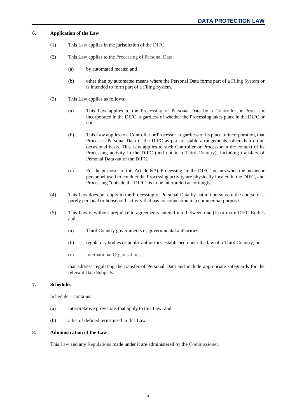## <span id="page-4-0"></span>**6. Application of the Law**

- (1) This [Law](#page-48-0) applies in the jurisdiction of the [DIFC.](#page-47-2)
- (2) This Law applies to the [Processing](#page-49-2) of [Personal Data:](#page-48-1)
	- (a) by automated means; and
	- (b) other than by automated means where the Personal Data forms part of a [Filing System](#page-48-2) or is intended to form part of a Filing System.
- (3) This Law applies as follows:
	- (a) This Law applies to the [Processing](#page-49-2) of Personal Data by a [Controller](#page-47-0) or [Processor](#page-49-3) incorporated in the DIFC, regardless of whether the Processing takes place in the DIFC or not.
	- (b) This Law applies to a Controller or Processor, regardless of its place of incorporation, that Processes Personal Data in the DIFC as part of stable arrangements, other than on an occasional basis. This Law applies to such Controller or Processor in the context of its Processing activity in the DIFC (and not in a [Third Country\)](#page-50-0), including transfers of Personal Data out of the DIFC.
	- (c) For the purposes of this Article 6(3), Processing "in the DIFC" occurs when the means or personnel used to conduct the Processing activity are physically located in the DIFC, and Processing "outside the DIFC" is to be interpreted accordingly.
- (4) This Law does not apply to the Processing of Personal Data by natural persons in the course of a purely personal or household activity that has no connection to a commercial purpose.
- (5) This Law is without prejudice to agreements entered into between one (1) or more [DIFC Bodies](#page-48-3) and:
	- (a) Third Country governments or governmental authorities;
	- (b) regulatory bodies or public authorities established under the law of a Third Country; or
	- (c) [International Organisations,](#page-48-4)

that address regulating the transfer of Personal Data and include appropriate safeguards for the relevant [Data Subjects.](#page-47-1)

## <span id="page-4-1"></span>**7. Schedules**

[Schedule 1](#page-46-1) contains:

- (a) interpretative provisions that apply to this Law; and
- (b) a list of defined terms used in this Law.

## <span id="page-4-2"></span>**8. Administration of the Law**

This [Law](#page-48-0) and any [Regulations](#page-49-0) made under it are administered by the [Commissioner.](#page-47-3)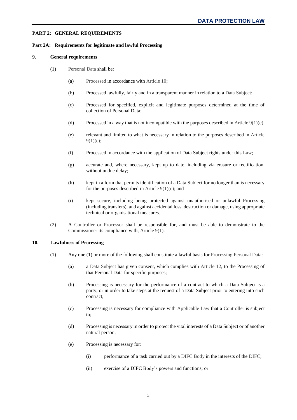## <span id="page-5-10"></span><span id="page-5-0"></span>**PART 2: GENERAL REQUIREMENTS**

## <span id="page-5-2"></span><span id="page-5-1"></span>**Part 2A: Requirements for legitimate and lawful Processing**

#### **9. General requirements**

- <span id="page-5-9"></span><span id="page-5-5"></span><span id="page-5-4"></span>(1) [Personal Data](#page-48-1) shall be:
	- (a) [Processed](#page-49-2) in accordance with [Article 10;](#page-5-3)
	- (b) Processed lawfully, fairly and in a transparent manner in relation to a [Data Subject;](#page-47-1)
	- (c) Processed for specified, explicit and legitimate purposes determined at the time of collection of Personal Data;
	- (d) Processed in a way that is not incompatible with the purposes described in Article  $9(1)(c)$ ;
	- (e) relevant and limited to what is necessary in relation to the purposes described in [Article](#page-5-4)  $9(1)(c)$ ;
	- (f) Processed in accordance with the application of Data Subject rights under this [Law;](#page-48-0)
	- (g) accurate and, where necessary, kept up to date, including via erasure or rectification, without undue delay;
	- (h) kept in a form that permits identification of a Data Subject for no longer than is necessary for the purposes described in Article  $9(1)(c)$ ; and
	- (i) kept secure, including being protected against unauthorised or unlawful Processing (including transfers), and against accidental loss, destruction or damage, using appropriate technical or organisational measures.
- (2) A [Controller](#page-47-0) or [Processor](#page-49-3) shall be responsible for, and must be able to demonstrate to the [Commissioner](#page-47-3) its compliance with, [Article 9\(1\).](#page-5-5)

## <span id="page-5-6"></span><span id="page-5-3"></span>**10. Lawfulness of Processing**

- <span id="page-5-8"></span><span id="page-5-7"></span>(1) Any one (1) or more of the following shall constitute a lawful basis for [Processing](#page-49-2) [Personal Data:](#page-48-1)
	- (a) a [Data Subject](#page-47-1) has given consent, which complies with [Article](#page-7-1) 12, to the Processing of that Personal Data for specific purposes;
	- (b) Processing is necessary for the performance of a contract to which a Data Subject is a party, or in order to take steps at the request of a Data Subject prior to entering into such contract;
	- (c) Processing is necessary for compliance with [Applicable Law](#page-47-4) that a [Controller](#page-47-0) is subject to;
	- (d) Processing is necessary in order to protect the vital interests of a Data Subject or of another natural person;
	- (e) Processing is necessary for:
		- (i) performance of a task carried out by a [DIFC Body](#page-48-3) in the interests of the [DIFC;](#page-47-2)
		- (ii) exercise of a DIFC Body's powers and functions; or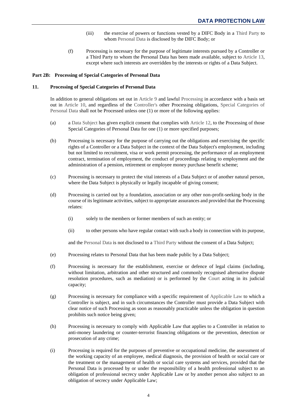- (iii) the exercise of powers or functions vested by a DIFC Body in a [Third Party](#page-50-1) to whom [Personal Data](#page-48-1) is disclosed by the DIFC Body; or
- (f) Processing is necessary for the purpose of legitimate interests pursued by a Controller or a Third Party to whom the Personal Data has been made available, subject to [Article](#page-8-0) 13, except where such interests are overridden by the interests or rights of a Data Subject.

## <span id="page-6-3"></span><span id="page-6-1"></span><span id="page-6-0"></span>**Part 2B: Processing of Special Categories of Personal Data**

#### **11. Processing of Special Categories of Personal Data**

In addition to general obligations set out in [Article 9](#page-5-2) and lawful [Processing](#page-49-2) in accordance with a basis set out in [Article 10,](#page-5-3) and regardless of the [Controller's](#page-47-0) other Processing obligations, [Special Categories of](#page-49-4)  [Personal Data](#page-49-4) shall not be Processed unless one (1) or more of the following applies:

- <span id="page-6-2"></span>(a) a [Data Subject](#page-47-1) has given explicit consent that complies with [Article 12,](#page-7-1) to the Processing of those Special Categories of Personal Data for one (1) or more specified purposes;
- (b) Processing is necessary for the purpose of carrying out the obligations and exercising the specific rights of a Controller or a Data Subject in the context of the Data Subject's employment, including but not limited to recruitment, visa or work permit processing, the performance of an employment contract, termination of employment, the conduct of proceedings relating to employment and the administration of a pension, retirement or employee money purchase benefit scheme;
- (c) Processing is necessary to protect the vital interests of a Data Subject or of another natural person, where the Data Subject is physically or legally incapable of giving consent;
- (d) Processing is carried out by a foundation, association or any other non-profit-seeking body in the course of its legitimate activities, subject to appropriate assurances and provided that the Processing relates:
	- (i) solely to the members or former members of such an entity; or
	- (ii) to other persons who have regular contact with such a body in connection with its purpose,

and the [Personal Data](#page-48-1) is not disclosed to a [Third Party](#page-50-1) without the consent of a Data Subject;

- (e) Processing relates to Personal Data that has been made public by a Data Subject;
- (f) Processing is necessary for the establishment, exercise or defence of legal claims (including, without limitation, arbitration and other structured and commonly recognised alternative dispute resolution procedures, such as mediation) or is performed by the [Court](#page-47-5) acting in its judicial capacity;
- (g) Processing is necessary for compliance with a specific requirement of [Applicable Law](#page-47-4) to which a Controller is subject, and in such circumstances the Controller must provide a Data Subject with clear notice of such Processing as soon as reasonably practicable unless the obligation in question prohibits such notice being given;
- (h) Processing is necessary to comply with Applicable Law that applies to a Controller in relation to anti-money laundering or counter-terrorist financing obligations or the prevention, detection or prosecution of any crime;
- (i) Processing is required for the purposes of preventive or occupational medicine, the assessment of the working capacity of an employee, medical diagnosis, the provision of health or social care or the treatment or the management of health or social care systems and services, provided that the Personal Data is processed by or under the responsibility of a health professional subject to an obligation of professional secrecy under Applicable Law or by another person also subject to an obligation of secrecy under Applicable Law;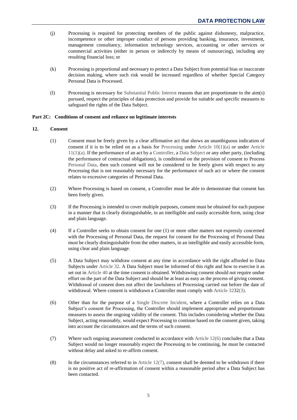- (j) Processing is required for protecting members of the public against dishonesty, malpractice, incompetence or other improper conduct of persons providing banking, insurance, investment, management consultancy, information technology services, accounting or other services or commercial activities (either in person or indirectly by means of outsourcing), including any resulting financial loss; or
- (k) Processing is proportional and necessary to protect a Data Subject from potential bias or inaccurate decision making, where such risk would be increased regardless of whether Special Category Personal Data is Processed.
- (l) Processing is necessary for [Substantial Public Interest](#page-49-5) reasons that are proportionate to the aim(s) pursued, respect the principles of data protection and provide for suitable and specific measures to safeguard the rights of the Data Subject.

## <span id="page-7-1"></span><span id="page-7-0"></span>**Part 2C: Conditions of consent and reliance on legitimate interests**

## **12. Consent**

- (1) Consent must be freely given by a clear affirmative act that shows an unambiguous indication of consent if it is to be relied on as a basis for [Processing](#page-49-2) under [Article](#page-6-2)  $10(1)(a)$  or under Article  $11(1)(a)$ . If the performance of an act by a [Controller,](#page-47-0) a [Data Subject](#page-47-1) or any other party, (including the performance of contractual obligations), is conditional on the provision of consent to Process [Personal Data,](#page-48-1) then such consent will not be considered to be freely given with respect to any Processing that is not reasonably necessary for the performance of such act or where the consent relates to excessive categories of Personal Data.
- (2) Where Processing is based on consent, a Controller must be able to demonstrate that consent has been freely given.
- (3) If the Processing is intended to cover multiple purposes, consent must be obtained for each purpose in a manner that is clearly distinguishable, in an intelligible and easily accessible form, using clear and plain language.
- (4) If a Controller seeks to obtain consent for one (1) or more other matters not expressly concerned with the Processing of Personal Data, the request for consent for the Processing of Personal Data must be clearly distinguishable from the other matters, in an intelligible and easily accessible form, using clear and plain language.
- <span id="page-7-4"></span>(5) A Data Subject may withdraw consent at any time in accordance with the right afforded to Data Subjects under [Article](#page-26-1) 32. A Data Subject must be informed of this right and how to exercise it as set out i[n Article 40](#page-31-0) at the time consent is obtained. Withdrawing consent should not require undue effort on the part of the Data Subject and should be at least as easy as the process of giving consent. Withdrawal of consent does not affect the lawfulness of Processing carried out before the date of withdrawal. Where consent is withdrawn a Controller must comply wit[h Article 3232\(3\).](#page-26-3)
- <span id="page-7-2"></span>(6) Other than for the purpose of a [Single Discrete Incident,](#page-49-6) where a Controller relies on a Data Subject's consent for Processing, the Controller should implement appropriate and proportionate measures to assess the ongoing validity of the consent. This includes considering whether the Data Subject, acting reasonably, would expect Processing to continue based on the consent given, taking into account the circumstances and the terms of such consent.
- <span id="page-7-3"></span>(7) Where such ongoing assessment conducted in accordance with [Article 12\(6\)](#page-7-2) concludes that a Data Subject would no longer reasonably expect the Processing to be continuing, he must be contacted without delay and asked to re-affirm consent.
- (8) In the circumstances referred to in Article  $12(7)$ , consent shall be deemed to be withdrawn if there is no positive act of re-affirmation of consent within a reasonable period after a Data Subject has been contacted.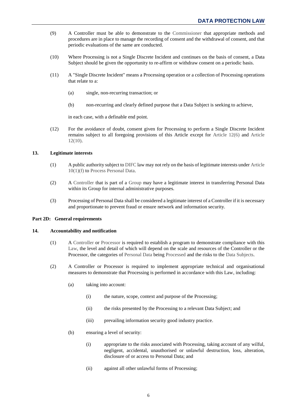- (9) A Controller must be able to demonstrate to the [Commissioner](#page-47-3) that appropriate methods and procedures are in place to manage the recording of consent and the withdrawal of consent, and that periodic evaluations of the same are conducted.
- <span id="page-8-3"></span>(10) Where Processing is not a Single Discrete Incident and continues on the basis of consent, a Data Subject should be given the opportunity to re-affirm or withdraw consent on a periodic basis.
- <span id="page-8-5"></span>(11) A "Single Discrete Incident" means a Processing operation or a collection of Processing operations that relate to a:
	- (a) single, non-recurring transaction; or
	- (b) non-recurring and clearly defined purpose that a Data Subject is seeking to achieve,

in each case, with a definable end point.

(12) For the avoidance of doubt, consent given for Processing to perform a Single Discrete Incident remains subject to all foregoing provisions of this Article except for [Article 12\(6\)](#page-7-2) and [Article](#page-8-3) [12\(10\).](#page-8-3)

## <span id="page-8-0"></span>**13. Legitimate interests**

- (1) A public authority subject t[o DIFC](#page-47-2) law may not rely on the basis of legitimate interests under [Article](#page-6-3) [10\(1\)\(f\)](#page-6-3) to [Process](#page-49-2) [Personal Data.](#page-48-1)
- (2) A [Controller](#page-47-0) that is part of a [Group](#page-48-5) may have a legitimate interest in transferring Personal Data within its Group for internal administrative purposes.
- (3) Processing of Personal Data shall be considered a legitimate interest of a Controller if it is necessary and proportionate to prevent fraud or ensure network and information security.

#### <span id="page-8-2"></span><span id="page-8-1"></span>**Part 2D: General requirements**

#### <span id="page-8-6"></span>**14. Accountability and notification**

- (1) A [Controller](#page-47-0) or [Processor](#page-49-3) is required to establish a program to demonstrate compliance with this [Law,](#page-48-0) the level and detail of which will depend on the scale and resources of the Controller or the Processor, the categories of [Personal Data](#page-48-1) being [Processed](#page-49-2) and the risks to the [Data Subjects.](#page-47-1)
- <span id="page-8-4"></span>(2) A Controller or Processor is required to implement appropriate technical and organisational measures to demonstrate that Processing is performed in accordance with this Law, including:
	- (a) taking into account:
		- (i) the nature, scope, context and purpose of the Processing;
		- (ii) the risks presented by the Processing to a relevant Data Subject; and
		- (iii) prevailing information security good industry practice.
	- (b) ensuring a level of security:
		- (i) appropriate to the risks associated with Processing, taking account of any wilful, negligent, accidental, unauthorised or unlawful destruction, loss, alteration, disclosure of or access to Personal Data; and
		- (ii) against all other unlawful forms of Processing;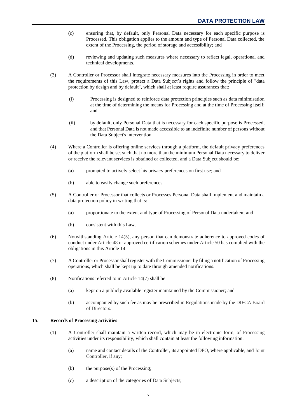- (c) ensuring that, by default, only Personal Data necessary for each specific purpose is Processed. This obligation applies to the amount and type of Personal Data collected, the extent of the Processing, the period of storage and accessibility; and
- (d) reviewing and updating such measures where necessary to reflect legal, operational and technical developments.
- <span id="page-9-5"></span>(3) A Controller or Processor shall integrate necessary measures into the Processing in order to meet the requirements of this Law, protect a Data Subject's rights and follow the principle of "data protection by design and by default", which shall at least require assurances that:
	- (i) Processing is designed to reinforce data protection principles such as data minimisation at the time of determining the means for Processing and at the time of Processing itself; and
	- (ii) by default, only Personal Data that is necessary for each specific purpose is Processed, and that Personal Data is not made accessible to an indefinite number of persons without the Data Subject's intervention.
- <span id="page-9-6"></span>(4) Where a Controller is offering online services through a platform, the default privacy preferences of the platform shall be set such that no more than the minimum Personal Data necessary to deliver or receive the relevant services is obtained or collected, and a Data Subject should be:
	- (a) prompted to actively select his privacy preferences on first use; and
	- (b) able to easily change such preferences.
- <span id="page-9-1"></span>(5) A Controller or Processor that collects or Processes Personal Data shall implement and maintain a data protection policy in writing that is:
	- (a) proportionate to the extent and type of Processing of Personal Data undertaken; and
	- (b) consistent with this Law.
- <span id="page-9-4"></span>(6) Notwithstanding [Article 14\(5\),](#page-9-1) any person that can demonstrate adherence to approved codes of conduct under [Article](#page-35-1) 48 or approved certification schemes under [Article 50](#page-37-0) has complied with the obligations in this Article 14.
- <span id="page-9-2"></span>(7) A Controller or Processor shall register with th[e Commissioner](#page-47-3) by filing a notification of Processing operations, which shall be kept up to date through amended notifications.
- (8) Notifications referred to in [Article 14\(7\)](#page-9-2) shall be:
	- (a) kept on a publicly available register maintained by the Commissioner; and
	- (b) accompanied by such fee as may be prescribed in [Regulations](#page-49-0) made by th[e DIFCA](#page-47-6) Board [of Directors.](#page-47-6)

## <span id="page-9-3"></span><span id="page-9-0"></span>**15. Records of Processing activities**

- (1) A [Controller](#page-47-0) shall maintain a written record, which may be in electronic form, of [Processing](#page-49-2) activities under its responsibility, which shall contain at least the following information:
	- (a) name and contact details of the Controller, its appointed [DPO,](#page-48-6) where applicable, and [Joint](#page-48-7)  [Controller,](#page-48-7) if any;
	- (b) the purpose(s) of the Processing;
	- (c) a description of the categories of [Data Subjects;](#page-47-1)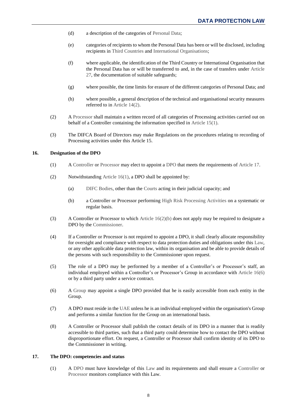- (d) a description of the categories of [Personal Data;](#page-48-1)
- (e) categories of recipients to whom the Personal Data has been or will be disclosed, including recipients in [Third Countries](#page-50-0) and [International Organisations;](#page-48-4)
- (f) where applicable, the identification of the Third Country or International Organisation that the Personal Data has or will be transferred to and, in the case of transfers under [Article](#page-19-2)  [27,](#page-19-2) the documentation of suitable safeguards;
- (g) where possible, the time limits for erasure of the different categories of Personal Data; and
- (h) where possible, a general description of the technical and organisational security measures referred to in [Article 14\(2\).](#page-8-4)
- (2) [A Processor](#page-49-3) shall maintain a written record of all categories of Processing activities carried out on behalf of a Controller containing the information specified in [Article 15\(1\).](#page-9-3)
- (3) The DIFCA Board of Directors may make Regulations on the procedures relating to recording of Processing activities under this Article 15.

#### <span id="page-10-5"></span><span id="page-10-2"></span><span id="page-10-0"></span>**16. Designation of the DPO**

- (1) [A Controller](#page-47-0) or [Processor](#page-49-3) may elect to appoint a [DPO](#page-48-6) that meets the requirements of [Article 17.](#page-10-1)
- <span id="page-10-3"></span>(2) Notwithstanding [Article 16\(1\),](#page-10-2) a DPO shall be appointed by:
	- (a) [DIFC Bodies,](#page-48-3) other than the [Courts](#page-47-5) acting in their judicial capacity; and
	- (b) a Controller or Processor performing [High Risk Processing Activities](#page-48-8) on a systematic or regular basis.
- <span id="page-10-6"></span>(3) A Controller or Processor to which Article  $16(2)(b)$  does not apply may be required to designate a DPO by the [Commissioner.](#page-47-3)
- (4) If a Controller or Processor is not required to appoint a DPO, it shall clearly allocate responsibility for oversight and compliance with respect to data protection duties and obligations under this [Law,](#page-48-0) or any other applicable data protection law, within its organisation and be able to provide details of the persons with such responsibility to the Commissioner upon request.
- (5) The role of a DPO may be performed by a member of a Controller's or Processor's staff, an individual employed within a Controller's or Processor's Group in accordance with [Article 16\(6\)](#page-10-4) or by a third party under a service contract.
- <span id="page-10-4"></span>(6) A [Group](#page-48-5) may appoint a single DPO provided that he is easily accessible from each entity in the Group.
- (7) A DPO must reside in the [UAE](#page-50-2) unless he is an individual employed within the organisation's Group and performs a similar function for the Group on an international basis.
- (8) A Controller or Processor shall publish the contact details of its DPO in a manner that is readily accessible to third parties, such that a third party could determine how to contact the DPO without disproportionate effort. On request, a Controller or Processor shall confirm identity of its DPO to the Commissioner in writing.

## <span id="page-10-1"></span>**17. The DPO: competencies and status**

(1) A [DPO](#page-48-6) must have knowledge of this [Law](#page-48-0) and its requirements and shall ensure a [Controller](#page-47-0) or [Processor](#page-49-3) monitors compliance with this Law.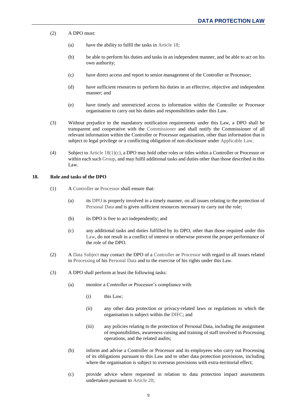- (2) A DPO must:
	- (a) have the ability to fulfil the tasks in [Article 18;](#page-11-0)
	- (b) be able to perform his duties and tasks in an independent manner, and be able to act on his own authority;
	- (c) have direct access and report to senior management of the Controller or Processor;
	- (d) have sufficient resources to perform his duties in an effective, objective and independent manner; and
	- (e) have timely and unrestricted access to information within the Controller or Processor organisation to carry out his duties and responsibilities under this Law.
- <span id="page-11-2"></span>(3) Without prejudice to the mandatory notification requirements under this Law, a DPO shall be transparent and cooperative with the [Commissioner](#page-47-3) and shall notify the Commissioner of all relevant information within the Controller or Processor organisation, other than information that is subject to legal privilege or a conflicting obligation of non-disclosure under [Applicable Law.](#page-47-4)
- (4) Subject to [Article 18\(1\)\(c\),](#page-11-1) a DPO may hold other roles or titles within a Controller or Processor or within each suc[h Group,](#page-48-5) and may fulfil additional tasks and duties other than those described in this Law.

#### <span id="page-11-0"></span>**18. Role and tasks of the DPO**

- (1) [A Controller](#page-47-0) or [Processor](#page-49-3) shall ensure that:
	- (a) its [DPO](#page-48-6) is properly involved in a timely manner, on all issues relating to the protection of [Personal Data](#page-48-1) and is given sufficient resources necessary to carry out the role;
	- (b) its DPO is free to act independently; and
	- (c) any additional tasks and duties fulfilled by its DPO, other than those required under this [Law,](#page-48-0) do not result in a conflict of interest or otherwise prevent the proper performance of the role of the DPO.
- <span id="page-11-1"></span>(2) [A Data Subject](#page-47-1) may contact the DPO of a [Controller](#page-47-0) or [Processor](#page-49-3) with regard to all issues related to [Processing](#page-49-2) of his [Personal Data](#page-48-1) and to the exercise of his rights under this Law.
- (3) A DPO shall perform at least the following tasks:
	- (a) monitor a Controller or Processor's compliance with:
		- (i) this Law;
		- (ii) any other data protection or privacy-related laws or regulations to which the organisation is subject within the [DIFC;](#page-47-2) and
		- (iii) any policies relating to the protection of Personal Data, including the assignment of responsibilities, awareness-raising and training of staff involved in Processing operations, and the related audits;
	- (b) inform and advise a Controller or Processor and its employees who carry out Processing of its obligations pursuant to this Law and to other data protection provisions, including where the organisation is subject to overseas provisions with extra-territorial effect;
	- (c) provide advice where requested in relation to data protection impact assessments undertaken pursuant to [Article](#page-12-1) 20;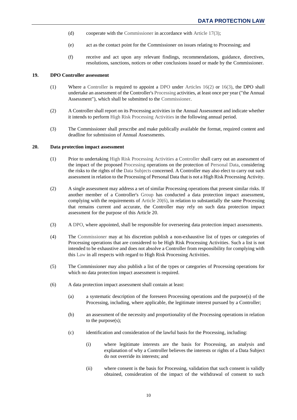- (d) cooperate with the [Commissioner](#page-47-3) in accordance with [Article 17\(3\);](#page-11-2)
- (e) act as the contact point for the Commissioner on issues relating to Processing; and
- (f) receive and act upon any relevant findings, recommendations, guidance, directives, resolutions, sanctions, notices or other conclusions issued or made by the Commissioner.

## <span id="page-12-0"></span>**19. DPO Controller assessment**

- (1) Where a [Controller](#page-47-0) is required to appoint a [DPO](#page-48-6) under [Articles](#page-10-5) 16(2) or [16\(3\),](#page-10-6) the DPO shall undertake an assessment of the Controller'[s Processing](#page-49-2) activities, at least once per year ("the Annual Assessment"), which shall be submitted to the [Commissioner.](#page-47-3)
- (2) A Controller shall report on its Processing activities in the Annual Assessment and indicate whether it intends to perform [High Risk Processing Activities](#page-48-8) in the following annual period.
- (3) The Commissioner shall prescribe and make publically available the format, required content and deadline for submission of Annual Assessments.

#### <span id="page-12-1"></span>**20. Data protection impact assessment**

- (1) Prior to undertaking [High Risk Processing Activities](#page-48-8) a [Controller](#page-47-0) shall carry out an assessment of the impact of the proposed [Processing](#page-49-2) operations on the protection of [Personal Data,](#page-48-1) considering the risks to the rights of the [Data Subjects](#page-47-1) concerned. A Controller may also elect to carry out such assessment in relation to the Processing of Personal Data that is not a High Risk Processing Activity.
- (2) A single assessment may address a set of similar Processing operations that present similar risks. If another member of a Controller's [Group](#page-48-5) has conducted a data protection impact assessment, complying with the requirements of [Article 20\(6\),](#page-12-2) in relation to substantially the same Processing that remains current and accurate, the Controller may rely on such data protection impact assessment for the purpose of this Article [20.](#page-12-1)
- (3) [A DPO,](#page-48-6) where appointed, shall be responsible for overseeing data protection impact assessments.
- (4) The [Commissioner](#page-47-3) may at his discretion publish a non-exhaustive list of types or categories of Processing operations that are considered to be High Risk Processing Activities. Such a list is not intended to be exhaustive and does not absolve a Controller from responsibility for complying with this [Law](#page-48-0) in all respects with regard to High Risk Processing Activities.
- (5) The Commissioner may also publish a list of the types or categories of Processing operations for which no data protection impact assessment is required.
- <span id="page-12-2"></span>(6) A data protection impact assessment shall contain at least:
	- (a) a systematic description of the foreseen Processing operations and the purpose(s) of the Processing, including, where applicable, the legitimate interest pursued by a Controller;
	- (b) an assessment of the necessity and proportionality of the Processing operations in relation to the purpose(s);
	- (c) identification and consideration of the lawful basis for the Processing, including:
		- (i) where legitimate interests are the basis for Processing, an analysis and explanation of why a Controller believes the interests or rights of a Data Subject do not override its interests; and
		- (ii) where consent is the basis for Processing, validation that such consent is validly obtained, consideration of the impact of the withdrawal of consent to such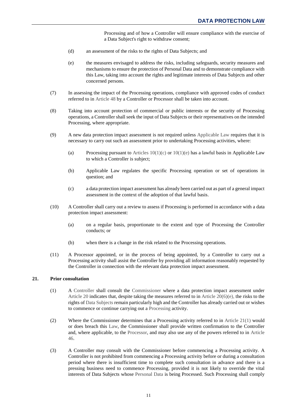Processing and of how a Controller will ensure compliance with the exercise of a Data Subject's right to withdraw consent;

- (d) an assessment of the risks to the rights of Data Subjects; and
- <span id="page-13-1"></span>(e) the measures envisaged to address the risks, including safeguards, security measures and mechanisms to ensure the protection of Personal Data and to demonstrate compliance with this Law, taking into account the rights and legitimate interests of Data Subjects and other concerned persons.
- (7) In assessing the impact of the Processing operations, compliance with approved codes of conduct referred to i[n Article](#page-35-1) 48 by a Controller or Processor shall be taken into account.
- (8) Taking into account protection of commercial or public interests or the security of Processing operations, a Controller shall seek the input of Data Subjects or their representatives on the intended Processing, where appropriate.
- (9) A new data protection impact assessment is not required unless [Applicable Law](#page-47-4) requires that it is necessary to carry out such an assessment prior to undertaking Processing activities, where:
	- (a) Processing pursuant to [Articles](#page-5-7)  $10(1)(c)$  or  $10(1)(e)$  has a lawful basis in Applicable Law to which a Controller is subject;
	- (b) Applicable Law regulates the specific Processing operation or set of operations in question; and
	- (c) a data protection impact assessment has already been carried out as part of a general impact assessment in the context of the adoption of that lawful basis.
- (10) A Controller shall carry out a review to assess if Processing is performed in accordance with a data protection impact assessment:
	- (a) on a regular basis, proportionate to the extent and type of Processing the Controller conducts; or
	- (b) when there is a change in the risk related to the Processing operations.
- (11) A Processor appointed, or in the process of being appointed, by a Controller to carry out a Processing activity shall assist the Controller by providing all information reasonably requested by the Controller in connection with the relevant data protection impact assessment.

## <span id="page-13-2"></span><span id="page-13-0"></span>**21. Prior consultation**

- (1) A [Controller](#page-47-0) shall consult the [Commissioner](#page-47-3) where a data protection impact assessment under [Article 20](#page-12-1) indicates that, despite taking the measures referred to in Article  $20(6)(e)$ , the risks to the rights o[f Data Subjects](#page-47-1) remain particularly high and the Controller has already carried out or wishes to commence or continue carrying out a [Processing](#page-49-2) activity.
- (2) Where the Commissioner determines that a Processing activity referred to in [Article 21\(1\)](#page-13-2) would or does breach this [Law,](#page-48-0) the Commissioner shall provide written confirmation to the Controller and, where applicable, to the [Processor,](#page-49-3) and may also use any of the powers referred to in [Article](#page-33-4) [46.](#page-33-4)
- (3) A Controller may consult with the Commissioner before commencing a Processing activity. A Controller is not prohibited from commencing a Processing activity before or during a consultation period where there is insufficient time to complete such consultation in advance and there is a pressing business need to commence Processing, provided it is not likely to override the vital interests of Data Subjects whose [Personal Data](#page-48-1) is being Processed. Such Processing shall comply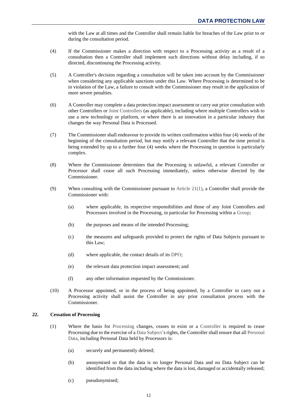with the Law at all times and the Controller shall remain liable for breaches of the Law prior to or during the consultation period.

- (4) If the Commissioner makes a direction with respect to a Processing activity as a result of a consultation then a Controller shall implement such directions without delay including, if so directed, discontinuing the Processing activity.
- (5) A Controller's decision regarding a consultation will be taken into account by the Commissioner when considering any applicable sanctions under this Law. Where Processing is determined to be in violation of the Law, a failure to consult with the Commissioner may result in the application of more severe penalties.
- (6) A Controller may complete a data protection impact assessment or carry out prior consultation with other Controllers or [Joint Controllers](#page-48-7) (as applicable), including where multiple Controllers wish to use a new technology or platform, or where there is an innovation in a particular industry that changes the way Personal Data is Processed.
- (7) The Commissioner shall endeavour to provide its written confirmation within four (4) weeks of the beginning of the consultation period, but may notify a relevant Controller that the time period is being extended by up to a further four (4) weeks where the Processing in question is particularly complex.
- (8) Where the Commissioner determines that the Processing is unlawful, a relevant Controller or Processor shall cease all such Processing immediately, unless otherwise directed by the Commissioner.
- (9) When consulting with the Commissioner pursuant to [Article 21\(1\),](#page-13-2) a Controller shall provide the Commissioner with:
	- (a) where applicable, its respective responsibilities and those of any Joint Controllers and Processors involved in the Processing, in particular for Processing within a [Group;](#page-48-5)
	- (b) the purposes and means of the intended Processing;
	- (c) the measures and safeguards provided to protect the rights of Data Subjects pursuant to this Law;
	- (d) where applicable, the contact details of its [DPO;](#page-48-6)
	- (e) the relevant data protection impact assessment; and
	- (f) any other information requested by the Commissioner.
- (10) A Processor appointed, or in the process of being appointed, by a Controller to carry out a Processing activity shall assist the Controller in any prior consultation process with the Commissioner.

## <span id="page-14-1"></span><span id="page-14-0"></span>**22. Cessation of Processing**

- (1) Where the basis for [Processing](#page-49-2) changes, ceases to exist or a [Controller](#page-47-0) is required to cease Processing due to the exercise of a [Data Subject's](#page-47-1) rights, the Controller shall ensure that all Personal [Data,](#page-48-1) including Personal Data held by Processors is:
	- (a) securely and permanently deleted;
	- (b) anonymised so that the data is no longer Personal Data and no Data Subject can be identified from the data including where the data is lost, damaged or accidentally released;
	- (c) pseudonymised;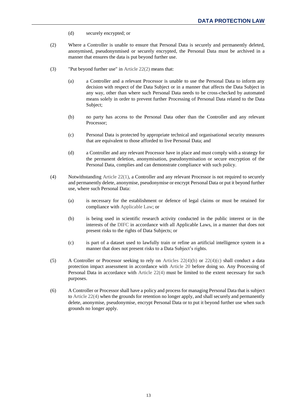- (d) securely encrypted; or
- <span id="page-15-0"></span>(2) Where a Controller is unable to ensure that Personal Data is securely and permanently deleted, anonymised, pseudonynmised or securely encrypted, the Personal Data must be archived in a manner that ensures the data is put beyond further use.
- (3) "Put beyond further use" in [Article](#page-15-0) 22(2) means that:
	- (a) a Controller and a relevant Processor is unable to use the Personal Data to inform any decision with respect of the Data Subject or in a manner that affects the Data Subject in any way, other than where such Personal Data needs to be cross-checked by automated means solely in order to prevent further Processing of Personal Data related to the Data Subject;
	- (b) no party has access to the Personal Data other than the Controller and any relevant Processor;
	- (c) Personal Data is protected by appropriate technical and organisational security measures that are equivalent to those afforded to live Personal Data; and
	- (d) a Controller and any relevant Processor have in place and must comply with a strategy for the permanent deletion, anonymisation, pseudonymisation or secure encryption of the Personal Data, complies and can demonstrate compliance with such policy.
- <span id="page-15-3"></span><span id="page-15-1"></span>(4) Notwithstanding [Article 22\(1\),](#page-14-1) a Controller and any relevant Processor is not required to securely and permanently delete, anonymise, pseudonymise or encrypt Personal Data or put it beyond further use, where such Personal Data:
	- (a) is necessary for the establishment or defence of legal claims or must be retained for compliance wit[h Applicable Law;](#page-47-4) or
	- (b) is being used in scientific research activity conducted in the public interest or in the interests of the [DIFC](#page-47-2) in accordance with all Applicable Laws, in a manner that does not present risks to the rights of Data Subjects; or
	- (c) is part of a dataset used to lawfully train or refine an artificial intelligence system in a manner that does not present risks to a Data Subject's rights.
- <span id="page-15-4"></span><span id="page-15-2"></span>(5) A Controller or Processor seeking to rely on Articles  $22(4)(b)$  or  $22(4)(c)$  shall conduct a data protection impact assessment in accordance with [Article 20](#page-12-1) before doing so. Any Processing of Personal Data in accordance with [Article 22\(4\)](#page-15-3) must be limited to the extent necessary for such purposes.
- <span id="page-15-5"></span>(6) A Controller or Processor shall have a policy and process for managing Personal Data that is subject t[o Article 22\(4\)](#page-15-3) when the grounds for retention no longer apply, and shall securely and permanently delete, anonymise, pseudonymise, encrypt Personal Data or to put it beyond further use when such grounds no longer apply.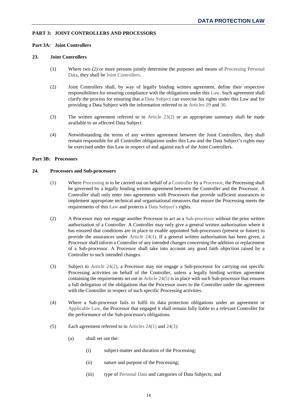## <span id="page-16-1"></span><span id="page-16-0"></span>**PART 3: JOINT CONTROLLERS AND PROCESSORS**

## <span id="page-16-2"></span>**Part 3A: Joint Controllers**

#### **23. Joint Controllers**

- (1) Where two (2) or more persons jointly determine the purposes and means of [Processing](#page-49-2) [Personal](#page-48-1)  [Data,](#page-48-1) they shall b[e Joint Controllers.](#page-48-7)
- <span id="page-16-5"></span>(2) Joint Controllers shall, by way of legally binding written agreement, define their respective responsibilities for ensuring compliance with the obligations under thi[s Law.](#page-48-0) Such agreement shall clarify the process for ensuring that a [Data Subject](#page-47-1) can exercise his rights under this Law and for providing a Data Subject with the information referred to in [Articles 29](#page-23-1) and [30.](#page-24-0)
- (3) The written agreement referred to in [Article 23\(2\)](#page-16-5) or an appropriate summary shall be made available to an affected Data Subject.
- (4) Notwithstanding the terms of any written agreement between the Joint Controllers, they shall remain responsible for all Controller obligations under this Law and the Data Subject's rights may be exercised under this Law in respect of and against each of the Joint Controllers.

#### <span id="page-16-4"></span><span id="page-16-3"></span>**Part 3B: Processors**

#### <span id="page-16-6"></span>**24. Processors and Sub-processors**

- (1) Where [Processing](#page-49-2) is to be carried out on behalf of a [Controller](#page-47-0) by [a Processor,](#page-49-3) the Processing shall be governed by a legally binding written agreement between the Controller and the Processor. A Controller shall only enter into agreements with Processors that provide sufficient assurances to implement appropriate technical and organisational measures that ensure the Processing meets the requirements of this [Law](#page-48-0) and protects [a Data Subject's](#page-47-1) rights.
- <span id="page-16-7"></span>(2) A Processor may not engage another Processor to act as a [Sub-processor](#page-49-7) without the prior written authorisation of a Controller. A Controller may only give a general written authorisation where it has ensured that conditions are in place to enable appointed Sub-processors (present or future) to provide the assurances under [Article 24\(1\).](#page-16-6) If a general written authorisation has been given, a Processor shall inform a Controller of any intended changes concerning the addition or replacement of a Sub-processor. A Processor shall take into account any good faith objection raised by a Controller to such intended changes.
- <span id="page-16-9"></span>(3) Subject to [Article 24\(2\),](#page-16-7) a Processor may not engage a Sub-processor for carrying out specific Processing activities on behalf of the Controller, unless a legally binding written agreement containing the requirements set out in [Article 24\(5\)](#page-16-8) is in place with such Sub-processor that ensures a full delegation of the obligations that the Processor owes to the Controller under the agreement with the Controller in respect of such specific Processing activities.
- (4) Where a Sub-processor fails to fulfil its data protection obligations under an agreement or [Applicable Law,](#page-47-4) the Processor that engaged it shall remain fully liable to a relevant Controller for the performance of the Sub-processor's obligations.
- <span id="page-16-8"></span>(5) Each agreement referred to in [Articles 24\(1\)](#page-16-6) and [24\(3\):](#page-16-9)
	- (a) shall set out the:
		- (i) subject-matter and duration of the Processing;
		- (ii) nature and purpose of the Processing;
		- (iii) type of [Personal Data](#page-48-1) and categories of Data Subjects; and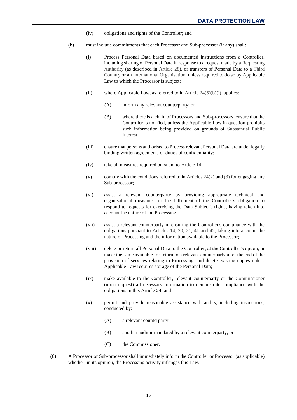- (iv) obligations and rights of the Controller; and
- <span id="page-17-0"></span>(b) must include commitments that each Processor and Sub-processor (if any) shall:
	- (i) Process Personal Data based on documented instructions from a Controller, including sharing of Personal Data in response to a request made by [a Requesting](#page-49-8)  [Authority](#page-49-8) (as described in [Article 28\)](#page-22-0), or transfers of Personal Data to a [Third](#page-50-0)  [Country](#page-50-0) or a[n International Organisation,](#page-48-4) unless required to do so by Applicable Law to which the Processor is subject;
	- (ii) where Applicable Law, as referred to in Article  $24(5)(b)(i)$ , applies:
		- (A) inform any relevant counterparty; or
		- (B) where there is a chain of Processors and Sub-processors, ensure that the Controller is notified, unless the Applicable Law in question prohibits such information being provided on grounds of [Substantial Public](#page-49-5)  [Interest;](#page-49-5)
	- (iii) ensure that persons authorised to Process relevant Personal Data are under legally binding written agreements or duties of confidentiality;
	- (iv) take all measures required pursuant to [Article 14;](#page-8-2)
	- (v) comply with the conditions referred to in [Articles 24\(2\)](#page-16-7) and [\(3\)](#page-16-9) for engaging any Sub-processor;
	- (vi) assist a relevant counterparty by providing appropriate technical and organisational measures for the fulfilment of the Controller's obligation to respond to requests for exercising the Data Subject's rights, having taken into account the nature of the Processing;
	- (vii) assist a relevant counterparty in ensuring the Controller's compliance with the obligations pursuant to [Articles](#page-8-2) 14, [20,](#page-12-1) [21,](#page-13-0) [41](#page-32-1) and [42,](#page-32-2) taking into account the nature of Processing and the information available to the Processor;
	- (viii) delete or return all Personal Data to the Controller, at the Controller's option, or make the same available for return to a relevant counterparty after the end of the provision of services relating to Processing, and delete existing copies unless Applicable Law requires storage of the Personal Data;
	- (ix) make available to the Controller, relevant counterparty or the [Commissioner](#page-47-3) (upon request) all necessary information to demonstrate compliance with the obligations in this Article 24; and
	- (x) permit and provide reasonable assistance with audits, including inspections, conducted by:
		- (A) a relevant counterparty;
		- (B) another auditor mandated by a relevant counterparty; or
		- (C) the Commissioner.
- <span id="page-17-2"></span><span id="page-17-1"></span>(6) A Processor or Sub-processor shall immediately inform the Controller or Processor (as applicable) whether, in its opinion, the Processing activity infringes this Law.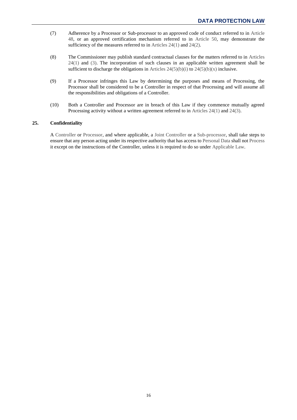- (7) Adherence by a Processor or Sub-processor to an approved code of conduct referred to in [Article](#page-35-1) [48,](#page-35-1) or an approved certification mechanism referred to in [Article](#page-37-0) 50, may demonstrate the sufficiency of the measures referred to in [Articles 24\(1\)](#page-16-6) and [24\(2\).](#page-16-7)
- (8) The Commissioner may publish standard contractual clauses for the matters referred to in [Articles](#page-16-6)  [24\(1\)](#page-16-6) and [\(3\).](#page-16-9) The incorporation of such clauses in an applicable written agreement shall be sufficient to discharge the obligations in Articles  $24(5)(b)(i)$  to  $24(5)(b)(x)$  inclusive.
- (9) If a Processor infringes this Law by determining the purposes and means of Processing, the Processor shall be considered to be a Controller in respect of that Processing and will assume all the responsibilities and obligations of a Controller.
- (10) Both a Controller and Processor are in breach of this Law if they commence mutually agreed Processing activity without a written agreement referred to in [Articles 24\(1\)](#page-16-6) and [24\(3\).](#page-16-9)

## <span id="page-18-0"></span>**25. Confidentiality**

A [Controller](#page-47-0) or [Processor,](#page-49-3) and where applicable, a [Joint Controller](#page-48-7) or a [Sub-processor,](#page-49-7) shall take steps to ensure that any person acting under its respective authority that has access t[o Personal Data](#page-48-1) shall not [Process](#page-49-2) it except on the instructions of the Controller, unless it is required to do so under [Applicable Law.](#page-47-4)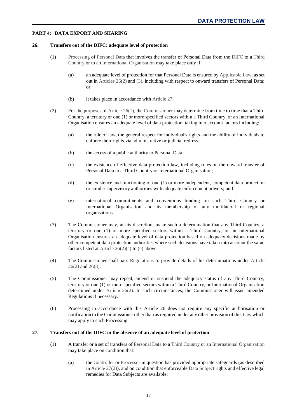## <span id="page-19-1"></span><span id="page-19-0"></span>**PART 4: DATA EXPORT AND SHARING**

#### **26. Transfers out of the DIFC: adequate level of protection**

- <span id="page-19-5"></span>(1) [Processing](#page-49-2) of [Personal Data](#page-48-1) that involves the transfer of Personal Data from the [DIFC](#page-47-2) to a [Third](#page-50-0)  [Country](#page-50-0) or to an [International Organisation](#page-48-4) may take place only if:
	- (a) an adequate level of protection for that Personal Data is ensured b[y Applicable Law,](#page-47-4) as set out in [Articles 26\(2\)](#page-19-3) an[d \(3\),](#page-19-4) including with respect to onward transfers of Personal Data; or
	- (b) it takes place in accordance with [Article 27.](#page-19-2)
- <span id="page-19-6"></span><span id="page-19-3"></span>(2) For the purposes o[f Article 26\(1\),](#page-19-5) the [Commissioner](#page-47-3) may determine from time to time that a Third Country, a territory or one (1) or more specified sectors within a Third Country, or an International Organisation ensures an adequate level of data protection, taking into account factors including:
	- (a) the rule of law, the general respect for individual's rights and the ability of individuals to enforce their rights via administrative or judicial redress;
	- (b) the access of a public authority to Personal Data;
	- (c) the existence of effective data protection law, including rules on the onward transfer of Personal Data to a Third Country or International Organisation;
	- (d) the existence and functioning of one (1) or more independent, competent data protection or similar supervisory authorities with adequate enforcement powers; and
	- (e) international commitments and conventions binding on such Third Country or International Organisation and its membership of any multilateral or regional organisations.
- <span id="page-19-7"></span><span id="page-19-4"></span>(3) The Commissioner may, at his discretion, make such a determination that any Third Country, a territory or one (1) or more specified sectors within a Third Country, or an International Organisation ensures an adequate level of data protection based on adequacy decisions made by other competent data protection authorities where such decisions have taken into account the same factors listed at [Article 26\(2\)\(a\)](#page-19-6) to [\(e\)](#page-19-7) above.
- (4) The Commissioner shall pass [Regulations](#page-49-0) to provide details of his determinations under [Article](#page-19-3)  [26\(2\)](#page-19-3) and [26\(3\).](#page-19-4)
- (5) The Commissioner may repeal, amend or suspend the adequacy status of any Third Country, territory or one (1) or more specified sectors within a Third Country, or International Organisation determined under [Article 26\(2\).](#page-19-3) In such circumstances, the Commissioner will issue amended Regulations if necessary.
- (6) Processing in accordance with this Article [26](#page-19-1) does not require any specific authorisation or notification to the Commissioner other than as required under any other provision of thi[s Law](#page-48-0) which may apply to such Processing.

## <span id="page-19-9"></span><span id="page-19-2"></span>**27. Transfers out of the DIFC in the absence of an adequate level of protection**

- <span id="page-19-8"></span>(1) A transfer or a set of transfers of [Personal Data](#page-48-1) to [a Third Country](#page-50-0) or a[n International Organisation](#page-48-4) may take place on condition that:
	- (a) the [Controller](#page-47-0) or [Processor](#page-49-3) in question has provided appropriate safeguards (as described in [Article 27\(2\)\)](#page-20-0), and on condition that enforceabl[e Data Subject](#page-47-1) rights and effective legal remedies for Data Subjects are available;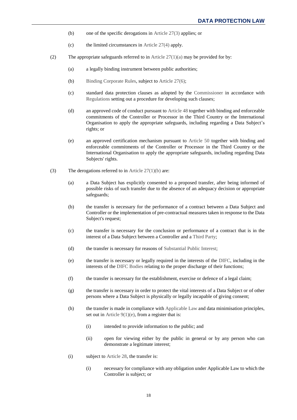- (b) one of the specific derogations in [Article 27\(3\)](#page-20-1) applies; or
- <span id="page-20-6"></span>(c) the limited circumstances in [Article 27\(4\)](#page-21-0) apply.
- <span id="page-20-2"></span><span id="page-20-0"></span>(2) The appropriate safeguards referred to in Article  $27(1)(a)$  may be provided for by:
	- (a) a legally binding instrument between public authorities;
	- (b) [Binding Corporate Rules,](#page-47-7) subject to [Article 27\(6\);](#page-21-1)
	- (c) standard data protection clauses as adopted by the [Commissioner](#page-47-3) in accordance with [Regulations](#page-49-0) setting out a procedure for developing such clauses;
	- (d) an approved code of conduct pursuant t[o Article 48](#page-35-1) together with binding and enforceable commitments of the Controller or Processor in the Third Country or the International Organisation to apply the appropriate safeguards, including regarding a Data Subject's rights; or
	- (e) an approved certification mechanism pursuant to [Article 50](#page-37-0) together with binding and enforceable commitments of the Controller or Processor in the Third Country or the International Organisation to apply the appropriate safeguards, including regarding Data Subjects' rights.
- <span id="page-20-5"></span><span id="page-20-4"></span><span id="page-20-3"></span><span id="page-20-1"></span>(3) The derogations referred to i[n Article 27\(1\)\(b\)](#page-20-2) are:
	- (a) a Data Subject has explicitly consented to a proposed transfer, after being informed of possible risks of such transfer due to the absence of an adequacy decision or appropriate safeguards;
	- (b) the transfer is necessary for the performance of a contract between a Data Subject and Controller or the implementation of pre-contractual measures taken in response to the Data Subject's request;
	- (c) the transfer is necessary for the conclusion or performance of a contract that is in the interest of a Data Subject between a Controller and [a Third Party;](#page-50-1)
	- (d) the transfer is necessary for reasons of [Substantial Public Interest;](#page-49-5)
	- (e) the transfer is necessary or legally required in the interests of the [DIFC,](#page-47-2) including in the interests of the [DIFC Bodies](#page-48-3) relating to the proper discharge of their functions;
	- (f) the transfer is necessary for the establishment, exercise or defence of a legal claim;
	- (g) the transfer is necessary in order to protect the vital interests of a Data Subject or of other persons where a Data Subject is physically or legally incapable of giving consent;
	- (h) the transfer is made in compliance wit[h Applicable Law](#page-47-4) and data minimisation principles, set out in [Article 9\(1\)\(e\),](#page-5-9) from a register that is:
		- (i) intended to provide information to the public; and
		- (ii) open for viewing either by the public in general or by any person who can demonstrate a legitimate interest;
	- (i) subject to [Article 28,](#page-22-0) the transfer is:
		- (i) necessary for compliance with any obligation under Applicable Law to which the Controller is subject; or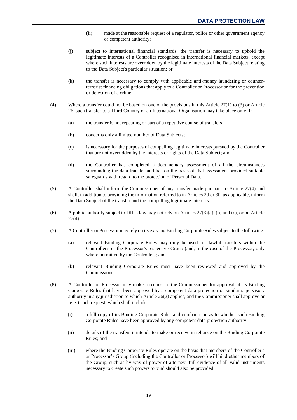- (ii) made at the reasonable request of a regulator, police or other government agency or competent authority;
- (j) subject to international financial standards, the transfer is necessary to uphold the legitimate interests of a Controller recognised in international financial markets, except where such interests are overridden by the legitimate interests of the Data Subject relating to the Data Subject's particular situation; or
- (k) the transfer is necessary to comply with applicable anti-money laundering or counterterrorist financing obligations that apply to a Controller or Processor or for the prevention or detection of a crime.
- <span id="page-21-0"></span>(4) Where a transfer could not be based on one of the provisions in this [Article 27\(1\)](#page-19-9) to [\(3\)](#page-20-1) or [Article](#page-19-1)  [26,](#page-19-1) such transfer to a Third Country or an International Organisation may take place only if:
	- (a) the transfer is not repeating or part of a repetitive course of transfers;
	- (b) concerns only a limited number of Data Subjects;
	- (c) is necessary for the purposes of compelling legitimate interests pursued by the Controller that are not overridden by the interests or rights of the Data Subject; and
	- (d) the Controller has completed a documentary assessment of all the circumstances surrounding the data transfer and has on the basis of that assessment provided suitable safeguards with regard to the protection of Personal Data.
- (5) A Controller shall inform the Commissioner of any transfer made pursuant to [Article 27\(4\)](#page-21-0) and shall, in addition to providing the information referred to in [Articles 29](#page-23-1) or [30,](#page-24-0) as applicable, inform the Data Subject of the transfer and the compelling legitimate interests.
- <span id="page-21-1"></span>(6) A public authority subject to [DIFC](#page-47-2) law may not rely on Articles  $27(3)(a)$ , [\(b\)](#page-20-4) an[d \(c\),](#page-20-5) or on Article  $27(4)$ .
- (7) A Controller or Processor may rely on its existing Binding Corporate Rules subject to the following:
	- (a) relevant Binding Corporate Rules may only be used for lawful transfers within the Controller's or the Processor's respective [Group](#page-48-5) (and, in the case of the Processor, only where permitted by the Controller); and
	- (b) relevant Binding Corporate Rules must have been reviewed and approved by the Commissioner.
- (8) A Controller or Processor may make a request to the Commissioner for approval of its Binding Corporate Rules that have been approved by a competent data protection or similar supervisory authority in any jurisdiction to which [Article 26\(2\)](#page-19-3) applies, and the Commissioner shall approve or reject such request, which shall include:
	- (i) a full copy of its Binding Corporate Rules and confirmation as to whether such Binding Corporate Rules have been approved by any competent data protection authority;
	- (ii) details of the transfers it intends to make or receive in reliance on the Binding Corporate Rules; and
	- (iii) where the Binding Corporate Rules operate on the basis that members of the Controller's or Processor's Group (including the Controller or Processor) will bind other members of the Group, such as by way of power of attorney, full evidence of all valid instruments necessary to create such powers to bind should also be provided.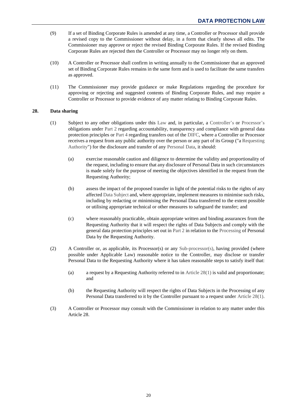- (9) If a set of Binding Corporate Rules is amended at any time, a Controller or Processor shall provide a revised copy to the Commissioner without delay, in a form that clearly shows all edits. The Commissioner may approve or reject the revised Binding Corporate Rules. If the revised Binding Corporate Rules are rejected then the Controller or Processor may no longer rely on them.
- (10) A Controller or Processor shall confirm in writing annually to the Commissioner that an approved set of Binding Corporate Rules remains in the same form and is used to facilitate the same transfers as approved.
- (11) The Commissioner may provide guidance or make Regulations regarding the procedure for approving or rejecting and suggested contents of Binding Corporate Rules, and may require a Controller or Processor to provide evidence of any matter relating to Binding Corporate Rules.

## <span id="page-22-1"></span><span id="page-22-0"></span>**28. Data sharing**

- (1) Subject to any other obligations under this [Law](#page-48-0) and, in particular, a [Controller's](#page-47-0) or [Processor's](#page-49-3) obligations under [Part 2](#page-5-10) regarding accountability, transparency and compliance with general data protection principles or [Part 4](#page-19-0) regarding transfers out of the [DIFC,](#page-47-2) where a Controller or Processor receives a request from any public authority over the person or any part of its Group ("[a Requesting](#page-49-8)  [Authority"](#page-49-8)) for the disclosure and transfer of any [Personal Data,](#page-48-1) it should:
	- (a) exercise reasonable caution and diligence to determine the validity and proportionality of the request, including to ensure that any disclosure of Personal Data in such circumstances is made solely for the purpose of meeting the objectives identified in the request from the Requesting Authority;
	- (b) assess the impact of the proposed transfer in light of the potential risks to the rights of any affected [Data Subject](#page-47-1) and, where appropriate, implement measures to minimise such risks, including by redacting or minimising the Personal Data transferred to the extent possible or utilising appropriate technical or other measures to safeguard the transfer; and
	- (c) where reasonably practicable, obtain appropriate written and binding assurances from the Requesting Authority that it will respect the rights of Data Subjects and comply with the general data protection principles set out i[n Part 2](#page-5-10) in relation to the [Processing](#page-49-2) of Personal Data by the Requesting Authority.
- (2) A Controller or, as applicable, its Processor(s) or any [Sub-processor\(s\),](#page-49-7) having provided (where possible under Applicable Law) reasonable notice to the Controller, may disclose or transfer Personal Data to the Requesting Authority where it has taken reasonable steps to satisfy itself that:
	- (a) a request by a Requesting Authority referred to in [Article 28\(1\)](#page-22-1) is valid and proportionate; and
	- (b) the Requesting Authority will respect the rights of Data Subjects in the Processing of any Personal Data transferred to it by the Controller pursuant to a request under [Article 28\(1\).](#page-22-1)
- (3) A Controller or Processor may consult with the Commissioner in relation to any matter under this Article [28.](#page-22-0)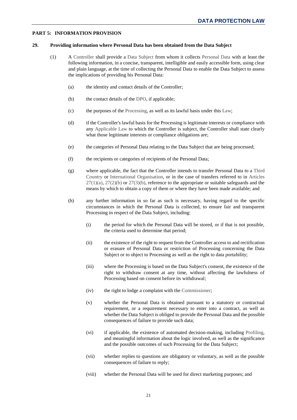## <span id="page-23-1"></span><span id="page-23-0"></span>**PART 5: INFORMATION PROVISION**

#### <span id="page-23-2"></span>**29. Providing information where Personal Data has been obtained from the Data Subject**

- (1) A [Controller](#page-47-0) shall provide a [Data Subject](#page-47-1) from whom it collects [Personal Data](#page-48-1) with at least the following information, in a concise, transparent, intelligible and easily accessible form, using clear and plain language, at the time of collecting the Personal Data to enable the Data Subject to assess the implications of providing his Personal Data:
	- (a) the identity and contact details of the Controller;
	- (b) the contact details of the [DPO,](#page-48-6) if applicable;
	- (c) the purposes of the [Processing,](#page-49-2) as well as its lawful basis under thi[s Law;](#page-48-0)
	- (d) if the Controller's lawful basis for the Processing is legitimate interests or compliance with any [Applicable Law](#page-47-4) to which the Controller is subject, the Controller shall state clearly what those legitimate interests or compliance obligations are;
	- (e) the categories of Personal Data relating to the Data Subject that are being processed;
	- (f) the recipients or categories of recipients of the Personal Data;
	- (g) where applicable, the fact that the Controller intends to transfer Personal Data to a [Third](#page-50-0)  [Country](#page-50-0) or [International Organisation,](#page-48-4) or in the case of transfers referred to in [Articles](#page-19-8)   $27(1)(a)$ ,  $27(2)(b)$  or  $27(3)(b)$ , reference to the appropriate or suitable safeguards and the means by which to obtain a copy of them or where they have been made available; and
	- (h) any further information in so far as such is necessary, having regard to the specific circumstances in which the Personal Data is collected, to ensure fair and transparent Processing in respect of the Data Subject, including:
		- (i) the period for which the Personal Data will be stored, or if that is not possible, the criteria used to determine that period;
		- (ii) the existence of the right to request from the Controller access to and rectification or erasure of Personal Data or restriction of Processing concerning the Data Subject or to object to Processing as well as the right to data portability;
		- (iii) where the Processing is based on the Data Subject's consent, the existence of the right to withdraw consent at any time, without affecting the lawfulness of Processing based on consent before its withdrawal;
		- (iv) the right to lodge a complaint with the [Commissioner;](#page-47-3)
		- (v) whether the Personal Data is obtained pursuant to a statutory or contractual requirement, or a requirement necessary to enter into a contract, as well as whether the Data Subject is obliged to provide the Personal Data and the possible consequences of failure to provide such data;
		- (vi) if applicable, the existence of automated decision-making, including [Profiling,](#page-49-9) and meaningful information about the logic involved, as well as the significance and the possible outcomes of such Processing for the Data Subject;
		- (vii) whether replies to questions are obligatory or voluntary, as well as the possible consequences of failure to reply;
		- (viii) whether the Personal Data will be used for direct marketing purposes; and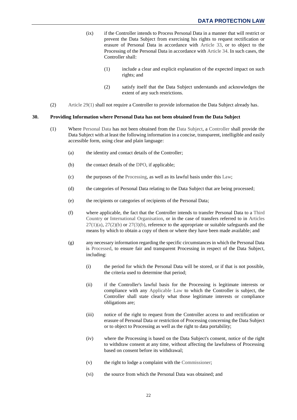- <span id="page-24-2"></span>(ix) if the Controller intends to Process Personal Data in a manner that will restrict or prevent the Data Subject from exercising his rights to request rectification or erasure of Personal Data in accordance with [Article 33,](#page-26-2) or to object to the Processing of the Personal Data in accordance with [Article](#page-28-0) 34. In such cases, the Controller shall:
	- (1) include a clear and explicit explanation of the expected impact on such rights; and
	- (2) satisfy itself that the Data Subject understands and acknowledges the extent of any such restrictions.
- (2) [Article 29\(1\)](#page-23-2) shall not require a Controller to provide information the Data Subject already has.

#### <span id="page-24-1"></span><span id="page-24-0"></span>**30. Providing Information where Personal Data has not been obtained from the Data Subject**

- (1) Where [Personal Data](#page-48-1) has not been obtained from the [Data Subject,](#page-47-1) a [Controller](#page-47-0) shall provide the Data Subject with at least the following information in a concise, transparent, intelligible and easily accessible form, using clear and plain language:
	- (a) the identity and contact details of the Controller;
	- (b) the contact details of the [DPO,](#page-48-6) if applicable;
	- (c) the purposes of the [Processing,](#page-49-2) as well as its lawful basis under thi[s Law;](#page-48-0)
	- (d) the categories of Personal Data relating to the Data Subject that are being processed;
	- (e) the recipients or categories of recipients of the Personal Data;
	- (f) where applicable, the fact that the Controller intends to transfer Personal Data to a [Third](#page-50-0)  [Country](#page-50-0) or [International Organisation,](#page-48-4) or in the case of transfers referred to in [Articles](#page-19-8)   $27(1)(a)$ ,  $27(2)(b)$  or  $27(3)(b)$ , reference to the appropriate or suitable safeguards and the means by which to obtain a copy of them or where they have been made available; and
	- (g) any necessary information regarding the specific circumstances in which the Personal Data is [Processed,](#page-49-2) to ensure fair and transparent Processing in respect of the Data Subject, including:
		- (i) the period for which the Personal Data will be stored, or if that is not possible, the criteria used to determine that period;
		- (ii) if the Controller's lawful basis for the Processing is legitimate interests or compliance with any [Applicable Law](#page-47-4) to which the Controller is subject, the Controller shall state clearly what those legitimate interests or compliance obligations are;
		- (iii) notice of the right to request from the Controller access to and rectification or erasure of Personal Data or restriction of Processing concerning the Data Subject or to object to Processing as well as the right to data portability;
		- (iv) where the Processing is based on the Data Subject's consent, notice of the right to withdraw consent at any time, without affecting the lawfulness of Processing based on consent before its withdrawal;
		- (v) the right to lodge a complaint with the [Commissioner;](#page-47-3)
		- (vi) the source from which the Personal Data was obtained; and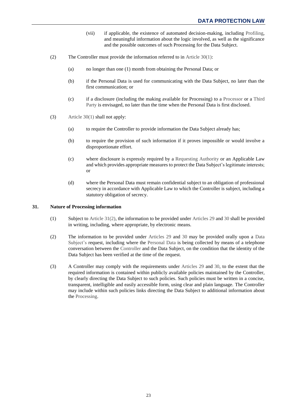- (vii) if applicable, the existence of automated decision-making, including [Profiling,](#page-49-9) and meaningful information about the logic involved, as well as the significance and the possible outcomes of such Processing for the Data Subject.
- <span id="page-25-1"></span>(2) The Controller must provide the information referred to in [Article 30\(1\):](#page-24-1)
	- (a) no longer than one (1) month from obtaining the Personal Data; or
	- (b) if the Personal Data is used for communicating with the Data Subject, no later than the first communication; or
	- (c) if a disclosure (including the making available for Processing) to a [Processor](#page-49-3) or a [Third](#page-50-1)  [Party](#page-50-1) is envisaged, no later than the time when the Personal Data is first disclosed.
- (3) [Article 30\(1\)](#page-24-1) shall not apply:
	- (a) to require the Controller to provide information the Data Subject already has;
	- (b) to require the provision of such information if it proves impossible or would involve a disproportionate effort.
	- (c) where disclosure is expressly required by a [Requesting Authority](#page-49-8) or an Applicable Law and which provides appropriate measures to protect the Data Subject's legitimate interests; or
	- (d) where the Personal Data must remain confidential subject to an obligation of professional secrecy in accordance with Applicable Law to which the Controller is subject, including a statutory obligation of secrecy.

## <span id="page-25-0"></span>**31. Nature of Processing information**

- (1) Subject t[o Article 31\(2\),](#page-25-1) the information to be provided under [Articles](#page-23-1) 29 an[d 30](#page-24-0) shall be provided in writing, including, where appropriate, by electronic means.
- (2) The information to be provided under [Articles 29 a](#page-23-1)nd [30](#page-24-0) may be provided orally upon a [Data](#page-47-1)  [Subject's](#page-47-1) request, including where the [Personal Data](#page-48-1) is being collected by means of a telephone conversation between the [Controller](#page-47-0) and the Data Subject, on the condition that the identity of the Data Subject has been verified at the time of the request.
- (3) A Controller may comply with the requirements under [Articles 29 a](#page-23-1)nd [30,](#page-24-0) to the extent that the required information is contained within publicly available policies maintained by the Controller, by clearly directing the Data Subject to such policies. Such policies must be written in a concise, transparent, intelligible and easily accessible form, using clear and plain language. The Controller may include within such policies links directing the Data Subject to additional information about the [Processing.](#page-49-2)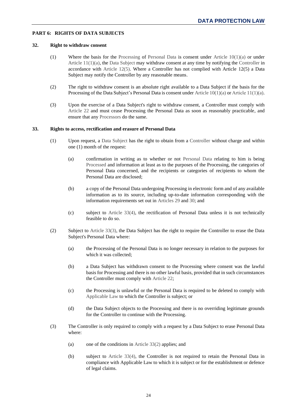## <span id="page-26-1"></span><span id="page-26-0"></span>**PART 6: RIGHTS OF DATA SUBJECTS**

#### **32. Right to withdraw consent**

- (1) Where the basis for the [Processing](#page-49-2) of [Personal Data](#page-48-1) is consent under [Article 10\(1\)\(a\)](#page-5-6) or under Article  $11(1)(a)$ , the [Data Subject](#page-47-1) may withdraw consent at any time by notifying the [Controller](#page-47-0) in accordance with [Article 12\(5\).](#page-7-4) Where a Controller has not complied with Article [12\(](#page-7-1)5) a Data Subject may notify the Controller by any reasonable means.
- (2) The right to withdraw consent is an absolute right available to a Data Subject if the basis for the Processing of the Data Subject's Personal Data is consent unde[r Article 10\(1\)\(a\)](#page-5-6) or [Article 11\(1\)\(a\).](#page-6-2)
- <span id="page-26-3"></span>(3) Upon the exercise of a Data Subject's right to withdraw consent, a Controller must comply with [Article](#page-14-0) 22 and must cease Processing the Personal Data as soon as reasonably practicable, and ensure that any [Processors](#page-49-3) do the same.

## <span id="page-26-9"></span><span id="page-26-2"></span>**33. Rights to access, rectification and erasure of Personal Data**

- <span id="page-26-10"></span>(1) Upon request, a [Data Subject](#page-47-1) has the right to obtain from a [Controller](#page-47-0) without charge and within one (1) month of the request:
	- (a) confirmation in writing as to whether or not [Personal](#page-48-1) Data relating to him is being [Processed](#page-49-2) and information at least as to the purposes of the Processing, the categories of Personal Data concerned, and the recipients or categories of recipients to whom the Personal Data are disclosed;
	- (b) a copy of the Personal Data undergoing Processing in electronic form and of any available information as to its source, including up-to-date information corresponding with the information requirements set out in [Articles 29 a](#page-23-1)nd [30;](#page-24-0) and
	- (c) subject to [Article 33\(4\),](#page-27-0) the rectification of Personal Data unless it is not technically feasible to do so.
- <span id="page-26-7"></span><span id="page-26-6"></span><span id="page-26-5"></span>(2) Subject to [Article 33\(3\),](#page-26-4) the Data Subject has the right to require the Controller to erase the Data Subject's Personal Data where:
	- (a) the Processing of the Personal Data is no longer necessary in relation to the purposes for which it was collected;
	- (b) a Data Subject has withdrawn consent to the Processing where consent was the lawful basis for Processing and there is no other lawful basis, provided that in such circumstances the Controller must comply with [Article 22;](#page-14-0)
	- (c) the Processing is unlawful or the Personal Data is required to be deleted to comply with [Applicable Law](#page-47-4) to which the Controller is subject; or
	- (d) the Data Subject objects to the Processing and there is no overriding legitimate grounds for the Controller to continue with the Processing.
- <span id="page-26-8"></span><span id="page-26-4"></span>(3) The Controller is only required to comply with a request by a Data Subject to erase Personal Data where:
	- (a) one of the conditions i[n Article 33\(2\)](#page-26-5) applies; and
	- (b) subject to [Article 33\(4\),](#page-27-0) the Controller is not required to retain the Personal Data in compliance with Applicable Law to which it is subject or for the establishment or defence of legal claims.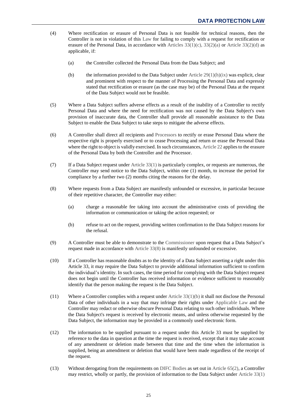- <span id="page-27-0"></span>(4) Where rectification or erasure of Personal Data is not feasible for technical reasons, then the Controller is not in violation of this [Law](#page-48-0) for failing to comply with a request for rectification or erasure of the Personal Data, in accordance with Articles  $33(1)(c)$ ,  $33(2)(a)$  or Article  $33(2)(d)$  as applicable, if:
	- (a) the Controller collected the Personal Data from the Data Subject; and
	- (b) the information provided to the Data Subject under Article  $29(1)(h)(ix)$  was explicit, clear and prominent with respect to the manner of Processing the Personal Data and expressly stated that rectification or erasure (as the case may be) of the Personal Data at the request of the Data Subject would not be feasible.
- (5) Where a Data Subject suffers adverse effects as a result of the inability of a Controller to rectify Personal Data and where the need for rectification was not caused by the Data Subject's own provision of inaccurate data, the Controller shall provide all reasonable assistance to the Data Subject to enable the Data Subject to take steps to mitigate the adverse effects.
- (6) A Controller shall direct all recipients and [Processors](#page-49-3) to rectify or erase Personal Data where the respective right is properly exercised or to cease Processing and return or erase the Personal Data where the right to object is validly exercised. In such circumstances[, Article 22](#page-14-0) applies to the erasure of the Personal Data by both the Controller and the Processor.
- (7) If a Data Subject request unde[r Article 33\(1\)](#page-26-9) is particularly complex, or requests are numerous, the Controller may send notice to the Data Subject, within one (1) month, to increase the period for compliance by a further two (2) months citing the reasons for the delay.
- <span id="page-27-1"></span>(8) Where requests from a Data Subject are manifestly unfounded or excessive, in particular because of their repetitive character, the Controller may either:
	- (a) charge a reasonable fee taking into account the administrative costs of providing the information or communication or taking the action requested; or
	- (b) refuse to act on the request, providing written confirmation to the Data Subject reasons for the refusal.
- (9) A Controller must be able to demonstrate to the [Commissioner](#page-47-3) upon request that a Data Subject's request made in accordance with [Article 33\(8\)](#page-27-1) is manifestly unfounded or excessive.
- (10) If a Controller has reasonable doubts as to the identity of a Data Subject asserting a right under this Article [33,](#page-26-2) it may require the Data Subject to provide additional information sufficient to confirm the individual's identity. In such cases, the time period for complying with the Data Subject request does not begin until the Controller has received information or evidence sufficient to reasonably identify that the person making the request is the Data Subject.
- (11) Where a Controller complies with a request under [Article 33\(1\)\(b\)](#page-26-10) it shall not disclose the Personal Data of other individuals in a way that may infringe their rights under [Applicable Law](#page-47-4) and the Controller may redact or otherwise obscure Personal Data relating to such other individuals. Where the Data Subject's request is received by electronic means, and unless otherwise requested by the Data Subject, the information may be provided in a commonly used electronic form.
- (12) The information to be supplied pursuant to a request under this Article 33 must be supplied by reference to the data in question at the time the request is received, except that it may take account of any amendment or deletion made between that time and the time when the information is supplied, being an amendment or deletion that would have been made regardless of the receipt of the request.
- <span id="page-27-2"></span>(13) Without derogating from the requirements o[n DIFC Bodies](#page-48-3) as set out in [Article 65\(2\),](#page-45-2) a Controller may restrict, wholly or partly, the provision of information to the Data Subject under [Article 33\(1\)](#page-26-9)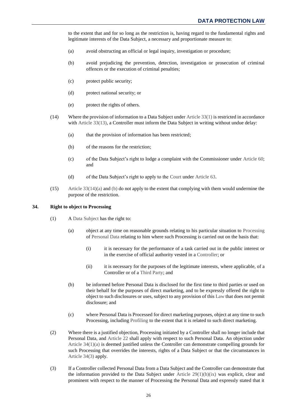to the extent that and for so long as the restriction is, having regard to the fundamental rights and legitimate interests of the Data Subject, a necessary and proportionate measure to:

- (a) avoid obstructing an official or legal inquiry, investigation or procedure;
- (b) avoid prejudicing the prevention, detection, investigation or prosecution of criminal offences or the execution of criminal penalties;
- (c) protect public security;
- (d) protect national security; or
- (e) protect the rights of others.
- <span id="page-28-2"></span><span id="page-28-1"></span>(14) Where the provision of information to a Data Subject under [Article 33\(1\)](#page-26-9) is restricted in accordance with [Article 33\(13\),](#page-27-2) a Controller must inform the Data Subject in writing without undue delay:
	- (a) that the provision of information has been restricted;
	- (b) of the reasons for the restriction;
	- (c) of the Data Subject's right to lodge a complaint with the Commissioner under [Article 60;](#page-42-0) and
	- (d) of the Data Subject's right to apply to the [Court](#page-47-5) under [Article 63.](#page-43-0)
- (15) [Article 33\(14\)\(a\)](#page-28-1) an[d \(b\)](#page-28-2) do not apply to the extent that complying with them would undermine the purpose of the restriction.

#### <span id="page-28-5"></span><span id="page-28-3"></span><span id="page-28-0"></span>**34. Right to object to Processing**

- (1) [A Data Subject](#page-47-1) has the right to:
	- (a) object at any time on reasonable grounds relating to his particular situation to [Processing](#page-49-2) o[f Personal Data](#page-48-1) relating to him where such Processing is carried out on the basis that:
		- (i) it is necessary for the performance of a task carried out in the public interest or in the exercise of official authority vested in a [Controller;](#page-47-0) or
		- (ii) it is necessary for the purposes of the legitimate interests, where applicable, of a Controller or of a [Third Party;](#page-50-1) and
	- (b) be informed before Personal Data is disclosed for the first time to third parties or used on their behalf for the purposes of direct marketing, and to be expressly offered the right to object to such disclosures or uses, subject to any provision of thi[s Law](#page-48-0) that does not permit disclosure; and
	- (c) where Personal Data is Processed for direct marketing purposes, object at any time to such Processing, including [Profiling](#page-49-9) to the extent that it is related to such direct marketing.
- (2) Where there is a justified objection, Processing initiated by a Controller shall no longer include that Personal Data, and [Article 22](#page-14-0) shall apply with respect to such Personal Data. An objection under Article  $34(1)(a)$  is deemed justified unless the Controller can demonstrate compelling grounds for such Processing that overrides the interests, rights of a Data Subject or that the circumstances in [Article 34\(3\)](#page-28-4) apply.
- <span id="page-28-4"></span>(3) If a Controller collected Personal Data from a Data Subject and the Controller can demonstrate that the information provided to the Data Subject under Article  $29(1)(h)(ix)$  was explicit, clear and prominent with respect to the manner of Processing the Personal Data and expressly stated that it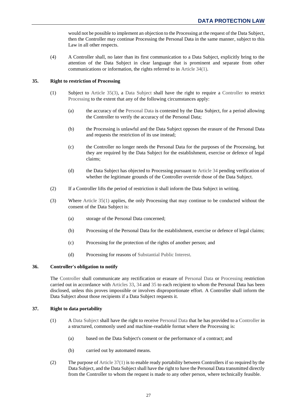would not be possible to implement an objection to the Processing at the request of the Data Subject, then the Controller may continue Processing the Personal Data in the same manner, subject to this Law in all other respects.

(4) A Controller shall, no later than its first communication to a Data Subject, explicitly bring to the attention of the Data Subject in clear language that is prominent and separate from other communications or information, the rights referred to in [Article 34\(1\).](#page-28-5)

## <span id="page-29-4"></span><span id="page-29-0"></span>**35. Right to restriction of Processing**

- (1) Subject to [Article 35\(3\),](#page-29-3) a [Data Subject](#page-47-1) shall have the right to require a [Controller](#page-47-0) to restrict [Processing](#page-49-2) to the extent that any of the following circumstances apply:
	- (a) the accuracy of the [Personal Data](#page-48-1) is contested by the Data Subject, for a period allowing the Controller to verify the accuracy of the Personal Data;
	- (b) the Processing is unlawful and the Data Subject opposes the erasure of the Personal Data and requests the restriction of its use instead;
	- (c) the Controller no longer needs the Personal Data for the purposes of the Processing, but they are required by the Data Subject for the establishment, exercise or defence of legal claims;
	- (d) the Data Subject has objected to Processing pursuant to [Article 34](#page-28-0) pending verification of whether the legitimate grounds of the Controller override those of the Data Subject.
- <span id="page-29-3"></span>(2) If a Controller lifts the period of restriction it shall inform the Data Subject in writing.
- (3) Where [Article 35\(1\)](#page-29-4) applies, the only Processing that may continue to be conducted without the consent of the Data Subject is:
	- (a) storage of the Personal Data concerned;
	- (b) Processing of the Personal Data for the establishment, exercise or defence of legal claims;
	- (c) Processing for the protection of the rights of another person; and
	- (d) Processing for reasons of [Substantial Public Interest.](#page-49-5)

## <span id="page-29-1"></span>**36. Controller's obligation to notify**

The [Controller](#page-47-0) shall communicate any rectification or erasure of [Personal Data](#page-48-1) or [Processing](#page-49-2) restriction carried out in accordance with [Articles 33,](#page-26-2) [34](#page-28-0) and [35](#page-29-0) to each recipient to whom the Personal Data has been disclosed, unless this proves impossible or involves disproportionate effort. A Controller shall inform the Data Subject about those recipients if a Data Subject requests it.

## <span id="page-29-5"></span><span id="page-29-2"></span>**37. Right to data portability**

- (1) [A Data Subject](#page-47-1) shall have the right to receive [Personal Data](#page-48-1) that he has provided to a [Controller](#page-47-0) in a structured, commonly used and machine-readable format where the Processing is:
	- (a) based on the Data Subject's consent or the performance of a contract; and
	- (b) carried out by automated means.
- (2) The purpose of [Article 37\(1\)](#page-29-5) is to enable ready portability between Controllers if so required by the Data Subject, and the Data Subject shall have the right to have the Personal Data transmitted directly from the Controller to whom the request is made to any other person, where technically feasible.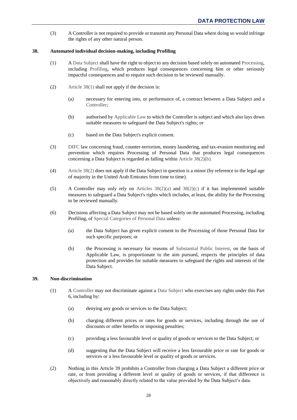(3) A Controller is not required to provide or transmit any Personal Data where doing so would infringe the rights of any other natural person.

## <span id="page-30-2"></span><span id="page-30-0"></span>**38. Automated individual decision-making, including Profiling**

- (1) [A Data Subject](#page-47-1) shall have the right to object to any decision based solely on automate[d Processing,](#page-49-2) including [Profiling,](#page-49-9) which produces legal consequences concerning him or other seriously impactful consequences and to require such decision to be reviewed manually.
- <span id="page-30-5"></span><span id="page-30-4"></span><span id="page-30-3"></span>(2) Article  $38(1)$  shall not apply if the decision is:
	- (a) necessary for entering into, or performance of, a contract between a Data Subject and a [Controller;](#page-47-0)
	- (b) authorised by [Applicable](#page-47-4) Law to which the Controller is subject and which also lays down suitable measures to safeguard the Data Subject's rights; or
	- (c) based on the Data Subject's explicit consent.
- <span id="page-30-6"></span>(3) [DIFC](#page-47-2) law concerning fraud, counter-terrorism, money laundering, and tax-evasion monitoring and prevention which requires Processing of Personal Data that produces legal consequences concerning a Data Subject is regarded as falling within [Article 38\(2\)\(b\).](#page-30-3)
- (4) [Article 38\(2\)](#page-30-4) does not apply if the Data Subject in question is a minor (by reference to the legal age of majority in the United Arab Emirates from time to time).
- (5) A Controller may only rely on Articles  $38(2)(a)$  and  $38(2)(c)$  if it has implemented suitable measures to safeguard a Data Subject's rights which includes, at least, the ability for the Processing to be reviewed manually.
- (6) Decisions affecting a Data Subject may not be based solely on the automated Processing, including Profiling, of [Special Categories of Personal Data](#page-49-4) unless:
	- (a) the Data Subject has given explicit consent to the Processing of those Personal Data for such specific purposes; or
	- (b) the Processing is necessary for reasons of [Substantial Public Interest,](#page-49-5) on the basis of Applicable Law, is proportionate to the aim pursued, respects the principles of data protection and provides for suitable measures to safeguard the rights and interests of the Data Subject.

## <span id="page-30-7"></span><span id="page-30-1"></span>**39. Non-discrimination**

- (1) [A Controller](#page-47-0) may not discriminate against a [Data Subject](#page-47-1) who exercises any rights under this Part 6, including by:
	- (a) denying any goods or services to the Data Subject;
	- (b) charging different prices or rates for goods or services, including through the use of discounts or other benefits or imposing penalties;
	- (c) providing a less favourable level or quality of goods or services to the Data Subject; or
	- (d) suggesting that the Data Subject will receive a less favourable price or rate for goods or services or a less favourable level or quality of goods or services.
- (2) Nothing in this Article [39](#page-30-1) prohibits a Controller from charging a Data Subject a different price or rate, or from providing a different level or quality of goods or services, if that difference is objectively and reasonably directly related to the value provided by the Data Subject's data.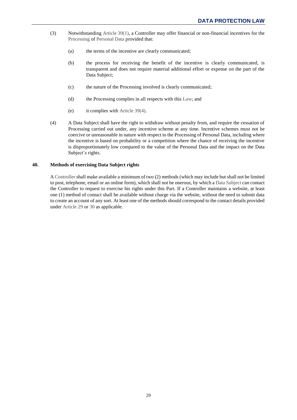- (3) Notwithstanding [Article 39\(1\),](#page-30-7) a Controller may offer financial or non-financial incentives for the [Processing](#page-49-2) of [Personal Data](#page-48-1) provided that:
	- (a) the terms of the incentive are clearly communicated;
	- (b) the process for receiving the benefit of the incentive is clearly communicated, is transparent and does not require material additional effort or expense on the part of the Data Subject;
	- (c) the nature of the Processing involved is clearly communicated;
	- (d) the Processing complies in all respects with this [Law;](#page-48-0) and
	- (e) it complies with [Article 39\(4\).](#page-31-1)
- <span id="page-31-1"></span>(4) A Data Subject shall have the right to withdraw without penalty from, and require the cessation of Processing carried out under, any incentive scheme at any time. Incentive schemes must not be coercive or unreasonable in nature with respect to the Processing of Personal Data, including where the incentive is based on probability or a competition where the chance of receiving the incentive is disproportionately low compared to the value of the Personal Data and the impact on the Data Subject's rights.

## <span id="page-31-0"></span>**40. Methods of exercising Data Subject rights**

[A Controller](#page-47-0) shall make available a minimum of two (2) methods (which may include but shall not be limited to post, telephone, email or an online form), which shall not be onerous, by which [a Data Subject](#page-47-1) can contact the Controller to request to exercise his rights under this Part. If a Controller maintains a website, at least one (1) method of contact shall be available without charge via the website, without the need to submit data to create an account of any sort. At least one of the methods should correspond to the contact details provided under [Article](#page-23-1) 29 o[r 30](#page-24-0) as applicable.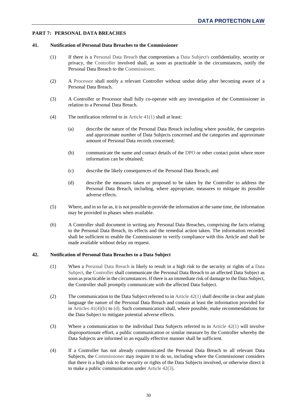## <span id="page-32-1"></span><span id="page-32-0"></span>**PART 7: PERSONAL DATA BREACHES**

#### <span id="page-32-3"></span>**41. Notification of Personal Data Breaches to the Commissioner**

- (1) If there is a [Personal Data Breach](#page-49-10) that compromises a [Data Subject's](#page-47-1) confidentiality, security or privacy, the [Controller](#page-47-0) involved shall, as soon as practicable in the circumstances, notify the Personal Data Breach to the [Commissioner.](#page-47-3)
- (2) A [Processor](#page-49-3) shall notify a relevant Controller without undue delay after becoming aware of a Personal Data Breach.
- (3) A Controller or Processor shall fully co-operate with any investigation of the Commissioner in relation to a Personal Data Breach.
- <span id="page-32-5"></span>(4) The notification referred to in [Article 41\(1\)](#page-32-3) shall at least:
	- (a) describe the nature of the Personal Data Breach including where possible, the categories and approximate number of Data Subjects concerned and the categories and approximate amount of Personal Data records concerned;
	- (b) communicate the name and contact details of the [DPO](#page-48-6) or other contact point where more information can be obtained;
	- (c) describe the likely consequences of the Personal Data Breach; and
	- (d) describe the measures taken or proposed to be taken by the Controller to address the Personal Data Breach, including, where appropriate, measures to mitigate its possible adverse effects.
- <span id="page-32-6"></span>(5) Where, and in so far as, it is not possible to provide the information at the same time, the information may be provided in phases when available.
- (6) A Controller shall document in writing any Personal Data Breaches, comprising the facts relating to the Personal Data Breach, its effects and the remedial action taken. The information recorded shall be sufficient to enable the Commissioner to verify compliance with this Article and shall be made available without delay on request.

## <span id="page-32-4"></span><span id="page-32-2"></span>**42. Notification of Personal Data Breaches to a Data Subject**

- (1) When a [Personal Data Breach](#page-49-10) is likely to result in a high risk to the security or rights of a [Data](#page-47-1)  [Subject,](#page-47-1) the [Controller](#page-47-0) shall communicate the Personal Data Breach to an affected Data Subject as soon as practicable in the circumstances. If there is an immediate risk of damage to the Data Subject, the Controller shall promptly communicate with the affected Data Subject.
- (2) The communication to the Data Subject referred to in Article  $42(1)$  shall describe in clear and plain language the nature of the Personal Data Breach and contain at least the information provided for in [Articles 41\(4\)\(b\)](#page-32-5) to [\(d\).](#page-32-6) Such communication shall, where possible, make recommendations for the Data Subject to mitigate potential adverse effects.
- <span id="page-32-7"></span>(3) Where a communication to the individual Data Subjects referred to in [Article 42\(1\)](#page-32-4) will involve disproportionate effort, a public communication or similar measure by the Controller whereby the Data Subjects are informed in an equally effective manner shall be sufficient.
- (4) If a Controller has not already communicated the Personal Data Breach to all relevant Data Subjects, the [Commissioner](#page-47-3) may require it to do so, including where the Commissioner considers that there is a high risk to the security or rights of the Data Subjects involved, or otherwise direct it to make a public communication under [Article 42\(3\).](#page-32-7)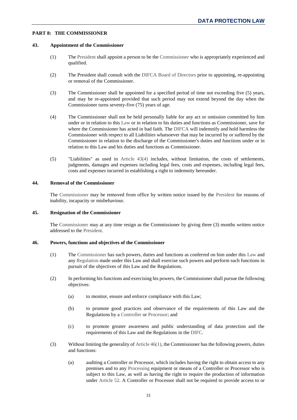## <span id="page-33-1"></span><span id="page-33-0"></span>**PART 8: THE COMMISSIONER**

#### <span id="page-33-8"></span>**43. Appointment of the Commissioner**

- (1) Th[e President](#page-49-11) shall appoint a person to be the [Commissioner](#page-47-3) who is appropriately experienced and qualified.
- (2) The President shall consult with the [DIFCA Board of Directors](#page-47-6) prior to appointing, re-appointing or removal of the Commissioner.
- (3) The Commissioner shall be appointed for a specified period of time not exceeding five (5) years, and may be re-appointed provided that such period may not extend beyond the day when the Commissioner turns seventy-five (75) years of age.
- <span id="page-33-5"></span>(4) The Commissioner shall not be held personally liable for any act or omission committed by him under or in relation to this [Law](#page-48-0) or in relation to his duties and functions as Commissioner, save for where the Commissioner has acted in bad faith. The [DIFCA](#page-47-8) will indemnify and hold harmless the Commissioner with respect to all Liabilities whatsoever that may be incurred by or suffered by the Commissioner in relation to the discharge of the Commissioner's duties and functions under or in relation to this Law and his duties and functions as Commissioner.
- (5) "Liabilities" as used in [Article 43\(4\)](#page-33-5) includes, without limitation, the costs of settlements, judgments, damages and expenses including legal fees, costs and expenses, including legal fees, costs and expenses incurred in establishing a right to indemnity hereunder.

## <span id="page-33-2"></span>**44. Removal of the Commissioner**

The [Commissioner](#page-47-3) may be removed from office by written notice issued by the [President](#page-49-11) for reasons of inability, incapacity or misbehaviour.

## <span id="page-33-3"></span>**45. Resignation of the Commissioner**

The [Commissioner](#page-47-3) may at any time resign as the Commissioner by giving three (3) months written notice addressed to the [President.](#page-49-11)

## <span id="page-33-6"></span><span id="page-33-4"></span>**46. Powers, functions and objectives of the Commissioner**

- (1) The [Commissioner](#page-47-3) has such powers, duties and functions as conferred on him under this [Law](#page-48-0) and an[y Regulation](#page-49-0) made under this Law and shall exercise such powers and perform such functions in pursuit of the objectives of this Law and the Regulations.
- (2) In performing his functions and exercising his powers, the Commissioner shall pursue the following objectives:
	- (a) to monitor, ensure and enforce compliance with this Law;
	- (b) to promote good practices and observance of the requirements of this Law and the Regulations by a [Controller](#page-47-0) or [Processor;](#page-49-3) and
	- (c) to promote greater awareness and public understanding of data protection and the requirements of this Law and the Regulations in the [DIFC.](#page-47-2)
- <span id="page-33-7"></span>(3) Without limiting the generality of [Article 46\(1\),](#page-33-6) the Commissioner has the following powers, duties and functions:
	- (a) auditing a Controller or Processor, which includes having the right to obtain access to any premises and to any [Processing](#page-49-2) equipment or means of a Controller or Processor who is subject to this Law, as well as having the right to require the production of information under [Article 52.](#page-38-0) A Controller or Processor shall not be required to provide access to or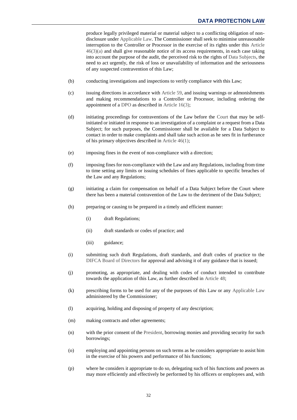produce legally privileged material or material subject to a conflicting obligation of nondisclosure unde[r Applicable Law.](#page-47-4) The Commissioner shall seek to minimise unreasonable interruption to the Controller or Processor in the exercise of its rights under this [Article](#page-33-7)   $46(3)(a)$  and shall give reasonable notice of its access requirements, in each case taking into account the purpose of the audit, the perceived risk to the rights of [Data Subjects,](#page-47-1) the need to act urgently, the risk of loss or unavailability of information and the seriousness of any suspected contravention of this Law;

- (b) conducting investigations and inspections to verify compliance with this Law;
- (c) issuing directions in accordance with [Article 59,](#page-41-1) and issuing warnings or admonishments and making recommendations to a Controller or Processor, including ordering the appointment of a [DPO](#page-48-6) as described in [Article 16\(3\);](#page-10-6)
- <span id="page-34-0"></span>(d) initiating proceedings for contraventions of the Law before the [Court](#page-47-5) that may be selfinitiated or initiated in response to an investigation of a complaint or a request from a Data Subject; for such purposes, the Commissioner shall be available for a Data Subject to contact in order to make complaints and shall take such action as he sees fit in furtherance of his primary objectives described in [Article 46\(1\);](#page-33-6)
- (e) imposing fines in the event of non-compliance with a direction;
- (f) imposing fines for non-compliance with the Law and any Regulations, including from time to time setting any limits or issuing schedules of fines applicable to specific breaches of the Law and any Regulations;
- (g) initiating a claim for compensation on behalf of a Data Subject before the Court where there has been a material contravention of the Law to the detriment of the Data Subject;
- (h) preparing or causing to be prepared in a timely and efficient manner:
	- (i) draft Regulations;
	- (ii) draft standards or codes of practice; and
	- (iii) guidance;
- (i) submitting such draft Regulations, draft standards, and draft codes of practice to the [DIFCA Board of Directors](#page-47-6) for approval and advising it of any guidance that is issued;
- (j) promoting, as appropriate, and dealing with codes of conduct intended to contribute towards the application of this Law, as further described in [Article](#page-35-1) 48;
- (k) prescribing forms to be used for any of the purposes of this Law or any [Applicable Law](#page-47-4) administered by the Commissioner;
- (l) acquiring, holding and disposing of property of any description;
- (m) making contracts and other agreements;
- (n) with the prior consent of the [President,](#page-49-11) borrowing monies and providing security for such borrowings;
- (o) employing and appointing persons on such terms as he considers appropriate to assist him in the exercise of his powers and performance of his functions;
- (p) where he considers it appropriate to do so, delegating such of his functions and powers as may more efficiently and effectively be performed by his officers or employees and, with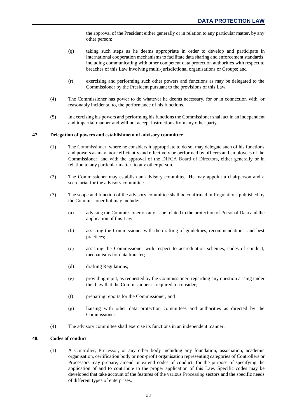the approval of the President either generally or in relation to any particular matter, by any other person;

- (q) taking such steps as he deems appropriate in order to develop and participate in international cooperation mechanisms to facilitate data sharing and enforcement standards, including communicating with other competent data protection authorities with respect to breaches of this Law involving multi-jurisdictional organisations or Groups; and
- (r) exercising and performing such other powers and functions as may be delegated to the Commissioner by the President pursuant to the provisions of this Law.
- (4) The Commissioner has power to do whatever he deems necessary, for or in connection with, or reasonably incidental to, the performance of his functions.
- (5) In exercising his powers and performing his functions the Commissioner shall act in an independent and impartial manner and will not accept instructions from any other party.

#### <span id="page-35-0"></span>**47. Delegation of powers and establishment of advisory committee**

- (1) The [Commissioner,](#page-47-3) where he considers it appropriate to do so, may delegate such of his functions and powers as may more efficiently and effectively be performed by officers and employees of the Commissioner, and with the approval of the [DIFCA Board of Directors,](#page-47-6) either generally or in relation to any particular matter, to any other person.
- (2) The Commissioner may establish an advisory committee. He may appoint a chairperson and a secretariat for the advisory committee.
- (3) The scope and function of the advisory committee shall be confirmed in [Regulations](#page-49-0) published by the Commissioner but may include:
	- (a) advising the Commissioner on any issue related to the protection o[f Personal](#page-48-1) Data and the application of this [Law;](#page-48-0)
	- (b) assisting the Commissioner with the drafting of guidelines, recommendations, and best practices;
	- (c) assisting the Commissioner with respect to accreditation schemes, codes of conduct, mechanisms for data transfer;
	- (d) drafting Regulations;
	- (e) providing input, as requested by the Commissioner, regarding any question arising under this Law that the Commissioner is required to consider;
	- (f) preparing reports for the Commissioner; and
	- (g) liaising with other data protection committees and authorities as directed by the Commissioner.
- (4) The advisory committee shall exercise its functions in an independent manner.

#### <span id="page-35-2"></span><span id="page-35-1"></span>**48. Codes of conduct**

(1) A [Controller,](#page-47-0) [Processor,](#page-49-3) or any other body including any foundation, association, academic organisation, certification body or non-profit organisation representing categories of Controllers or Processors may prepare, amend or extend codes of conduct, for the purpose of specifying the application of and to contribute to the proper application of this Law. Specific codes may be developed that take account of the features of the various [Processing](#page-49-2) sectors and the specific needs of different types of enterprises.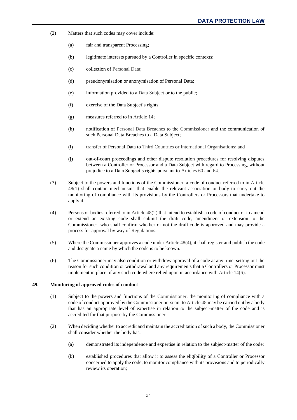- <span id="page-36-1"></span>(2) Matters that such codes may cover include:
	- (a) fair and transparent Processing;
	- (b) legitimate interests pursued by a Controller in specific contexts;
	- (c) collection o[f Personal Data;](#page-48-1)
	- (d) pseudonymisation or anonymisation of Personal Data;
	- (e) information provided to a [Data Subject](#page-47-1) or to the public;
	- (f) exercise of the Data Subject's rights;
	- (g) measures referred to in [Article 14;](#page-8-2)
	- (h) notification of [Personal Data Breaches](#page-49-10) to the [Commissioner](#page-47-3) and the communication of such Personal Data Breaches to a Data Subject;
	- (i) transfer of Personal Data to [Third Countries](#page-50-0) or [International Organisations;](#page-48-4) and
	- (j) out-of-court proceedings and other dispute resolution procedures for resolving disputes between a Controller or Processor and a Data Subject with regard to Processing, without prejudice to a Data Subject's rights pursuant to [Articles](#page-42-0) 60 and [64.](#page-43-1)
- (3) Subject to the powers and functions of the Commissioner, a code of conduct referred to in [Article](#page-35-2)  [48\(1\)](#page-35-2) shall contain mechanisms that enable the relevant association or body to carry out the monitoring of compliance with its provisions by the Controllers or Processors that undertake to apply it.
- <span id="page-36-2"></span>(4) Persons or bodies referred to in [Article 48\(2\)](#page-36-1) that intend to establish a code of conduct or to amend or extend an existing code shall submit the draft code, amendment or extension to the Commissioner, who shall confirm whether or not the draft code is approved and may provide a process for approval by way of [Regulations.](#page-49-0)
- (5) Where the Commissioner approves a code under [Article 48\(4\),](#page-36-2) it shall register and publish the code and designate a name by which the code is to be known.
- (6) The Commissioner may also condition or withdraw approval of a code at any time, setting out the reason for such condition or withdrawal and any requirements that a Controllers or Processor must implement in place of any such code where relied upon in accordance wit[h Article 14\(6\).](#page-9-4)

#### <span id="page-36-0"></span>**49. Monitoring of approved codes of conduct**

- (1) Subject to the powers and functions of the [Commissioner,](#page-47-3) the monitoring of compliance with a code of conduct approved by the Commissioner pursuant t[o Article 48](#page-35-1) may be carried out by a body that has an appropriate level of expertise in relation to the subject-matter of the code and is accredited for that purpose by the Commissioner.
- (2) When deciding whether to accredit and maintain the accreditation of such a body, the Commissioner shall consider whether the body has:
	- (a) demonstrated its independence and expertise in relation to the subject-matter of the code;
	- (b) established procedures that allow it to assess the eligibility of a Controller or Processor concerned to apply the code, to monitor compliance with its provisions and to periodically review its operation;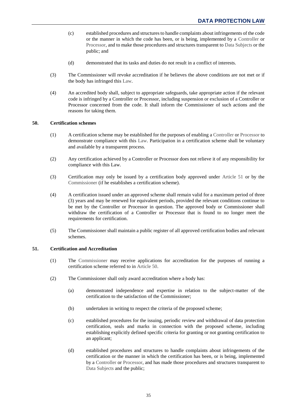- (c) established procedures and structures to handle complaints about infringements of the code or the manner in which the code has been, or is being, implemented by a [Controller](#page-47-0) or [Processor,](#page-49-3) and to make those procedures and structures transparent to [Data Subjects](#page-47-1) or the public; and
- (d) demonstrated that its tasks and duties do not result in a conflict of interests.
- (3) The Commissioner will revoke accreditation if he believes the above conditions are not met or if the body has infringed this [Law.](#page-48-0)
- (4) An accredited body shall, subject to appropriate safeguards, take appropriate action if the relevant code is infringed by a Controller or Processor, including suspension or exclusion of a Controller or Processor concerned from the code. It shall inform the Commissioner of such actions and the reasons for taking them.

## <span id="page-37-0"></span>**50. Certification schemes**

- (1) A certification scheme may be established for the purposes of enabling a [Controller](#page-47-0) or [Processor](#page-49-3) to demonstrate compliance with this [Law.](#page-48-0) Participation in a certification scheme shall be voluntary and available by a transparent process.
- (2) Any certification achieved by a Controller or Processor does not relieve it of any responsibility for compliance with this Law.
- (3) Certification may only be issued by a certification body approved under [Article 51](#page-37-1) or by the [Commissioner](#page-47-3) (if he establishes a certification scheme).
- (4) A certification issued under an approved scheme shall remain valid for a maximum period of three (3) years and may be renewed for equivalent periods, provided the relevant conditions continue to be met by the Controller or Processor in question. The approved body or Commissioner shall withdraw the certification of a Controller or Processor that is found to no longer meet the requirements for certification.
- (5) The Commissioner shall maintain a public register of all approved certification bodies and relevant schemes.

## <span id="page-37-1"></span>**51. Certification and Accreditation**

- (1) The [Commissioner](#page-47-3) may receive applications for accreditation for the purposes of running a certification scheme referred to in [Article 50.](#page-37-0)
- <span id="page-37-2"></span>(2) The Commissioner shall only award accreditation where a body has:
	- (a) demonstrated independence and expertise in relation to the subject-matter of the certification to the satisfaction of the Commissioner;
	- (b) undertaken in writing to respect the criteria of the proposed scheme;
	- (c) established procedures for the issuing, periodic review and withdrawal of data protection certification, seals and marks in connection with the proposed scheme, including establishing explicitly defined specific criteria for granting or not granting certification to an applicant;
	- (d) established procedures and structures to handle complaints about infringements of the certification or the manner in which the certification has been, or is being, implemented by a [Controller](#page-47-0) o[r Processor,](#page-49-3) and has made those procedures and structures transparent to [Data Subjects](#page-47-1) and the public;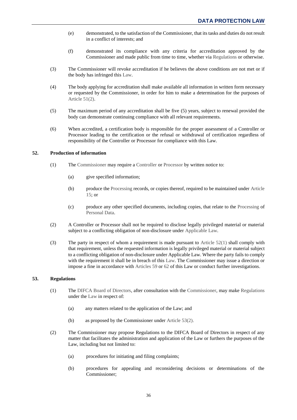- (e) demonstrated, to the satisfaction of the Commissioner, that its tasks and duties do not result in a conflict of interests; and
- (f) demonstrated its compliance with any criteria for accreditation approved by the Commissioner and made public from time to time, whether via [Regulations](#page-49-0) or otherwise.
- (3) The Commissioner will revoke accreditation if he believes the above conditions are not met or if the body has infringed this [Law.](#page-48-0)
- (4) The body applying for accreditation shall make available all information in written form necessary or requested by the Commissioner, in order for him to make a determination for the purposes of [Article 51\(2\).](#page-37-2)
- (5) The maximum period of any accreditation shall be five (5) years, subject to renewal provided the body can demonstrate continuing compliance with all relevant requirements.
- (6) When accredited, a certification body is responsible for the proper assessment of a Controller or Processor leading to the certification or the refusal or withdrawal of certification regardless of responsibility of the Controller or Processor for compliance with this Law.

## <span id="page-38-2"></span><span id="page-38-0"></span>**52. Production of information**

- (1) The [Commissioner](#page-47-3) may require a [Controller](#page-47-0) o[r Processor](#page-49-3) by written notice to:
	- (a) give specified information;
	- (b) produce the [Processing](#page-49-2) records, or copies thereof, required to be maintained under [Article](#page-9-0)  [15;](#page-9-0) or
	- (c) produce any other specified documents, including copies, that relate to the [Processing](#page-49-2) of [Personal Data.](#page-48-1)
- (2) A Controller or Processor shall not be required to disclose legally privileged material or material subject to a conflicting obligation of non-disclosure under [Applicable Law.](#page-47-4)
- (3) The party in respect of whom a requirement is made pursuant to Article  $52(1)$  shall comply with that requirement, unless the requested information is legally privileged material or material subject to a conflicting obligation of non-disclosure under Applicable Law. Where the party fails to comply with the requirement it shall be in breach of this [Law.](#page-48-0) The Commissioner may issue a direction or impose a fine in accordance with [Articles 59](#page-41-1) o[r 62](#page-42-2) of this Law or conduct further investigations.

## <span id="page-38-1"></span>**53. Regulations**

- (1) The [DIFCA Board of Directors,](#page-47-6) after consultation with the [Commissioner,](#page-47-3) may make [Regulations](#page-49-0) under the [Law](#page-48-0) in respect of:
	- (a) any matters related to the application of the Law; and
	- (b) as proposed by the Commissioner under [Article 53\(2\).](#page-38-3)
- <span id="page-38-3"></span>(2) The Commissioner may propose Regulations to the DIFCA Board of Directors in respect of any matter that facilitates the administration and application of the Law or furthers the purposes of the Law, including but not limited to:
	- (a) procedures for initiating and filing complaints;
	- (b) procedures for appealing and reconsidering decisions or determinations of the Commissioner;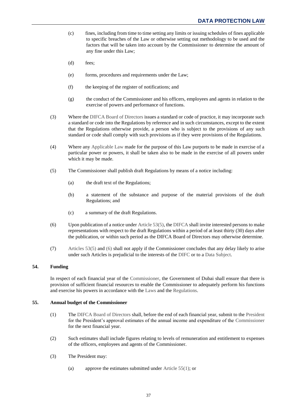- (c) fines, including from time to time setting any limits or issuing schedules of fines applicable to specific breaches of the Law or otherwise setting out methodology to be used and the factors that will be taken into account by the Commissioner to determine the amount of any fine under this Law;
- (d) fees;
- (e) forms, procedures and requirements under the Law;
- (f) the keeping of the register of notifications; and
- (g) the conduct of the Commissioner and his officers, employees and agents in relation to the exercise of powers and performance of functions.
- (3) Where the [DIFCA Board of Directors](#page-47-6) issues a standard or code of practice, it may incorporate such a standard or code into the Regulations by reference and in such circumstances, except to the extent that the Regulations otherwise provide, a person who is subject to the provisions of any such standard or code shall comply with such provisions as if they were provisions of the Regulations.
- (4) Where any [Applicable Law](#page-47-4) made for the purpose of this Law purports to be made in exercise of a particular power or powers, it shall be taken also to be made in the exercise of all powers under which it may be made.
- <span id="page-39-2"></span>(5) The Commissioner shall publish draft Regulations by means of a notice including:
	- (a) the draft text of the Regulations;
	- (b) a statement of the substance and purpose of the material provisions of the draft Regulations; and
	- (c) a summary of the draft Regulations.
- <span id="page-39-3"></span>(6) Upon publication of a notice under [Article 53\(5\),](#page-39-2) th[e DIFCA](#page-47-8) shall invite interested persons to make representations with respect to the draft Regulations within a period of at least thirty (30) days after the publication, or within such period as the DIFCA Board of Directors may otherwise determine.
- (7) [Articles 53\(5\)](#page-39-2) and [\(6\)](#page-39-3) shall not apply if the Commissioner concludes that any delay likely to arise under such Articles is prejudicial to the interests of the [DIFC](#page-47-2) or to a [Data Subject.](#page-47-1)

## <span id="page-39-0"></span>**54. Funding**

In respect of each financial year of the [Commissioner,](#page-47-3) the Government of Dubai shall ensure that there is provision of sufficient financial resources to enable the Commissioner to adequately perform his functions and exercise his powers in accordance with the [Laws](#page-48-0) and the [Regulations.](#page-49-0)

## <span id="page-39-4"></span><span id="page-39-1"></span>**55. Annual budget of the Commissioner**

- (1) The [DIFCA Board of Directors](#page-47-6) shall, before the end of each financial year, submit to the [President](#page-49-11) for the President's approval estimates of the annual income and expenditure of the [Commissioner](#page-47-3) for the next financial year.
- (2) Such estimates shall include figures relating to levels of remuneration and entitlement to expenses of the officers, employees and agents of the Commissioner.
- <span id="page-39-5"></span>(3) The President may:
	- (a) approve the estimates submitted under [Article 55\(1\);](#page-39-4) or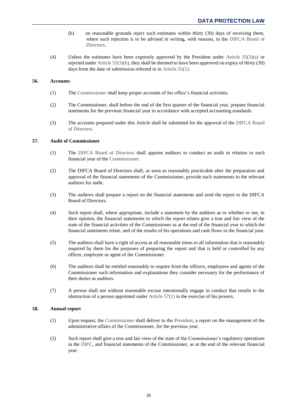- (b) on reasonable grounds reject such estimates within thirty (30) days of receiving them, where such rejection is to be advised in writing, with reasons, to the [DIFCA Board of](#page-47-6) [Directors.](#page-47-6)
- <span id="page-40-3"></span>(4) Unless the estimates have been expressly approved by the President under [Article 55\(3\)\(a\)](#page-39-5) or rejected unde[r Article 55\(3\)\(b\),](#page-40-3) they shall be deemed to have been approved on expiry of thirty (30) days from the date of submission referred to in [Article 55\(1\).](#page-39-4)

## <span id="page-40-0"></span>**56. Accounts**

- (1) The [Commissioner](#page-47-3) shall keep proper accounts of his office's financial activities.
- (2) The Commissioner, shall before the end of the first quarter of the financial year, prepare financial statements for the previous financial year in accordance with accepted accounting standards.
- (3) The accounts prepared under this Article shall be submitted for the approval of the [DIFCA Board](#page-47-6)  [of Directors.](#page-47-6)

## <span id="page-40-4"></span><span id="page-40-1"></span>**57. Audit of Commissioner**

- (1) The [DIFCA Board of Directors](#page-47-6) shall appoint auditors to conduct an audit in relation to each financial year of the [Commissioner.](#page-47-3)
- (2) The DIFCA Board of Directors shall, as soon as reasonably practicable after the preparation and approval of the financial statements of the Commissioner, provide such statements to the relevant auditors for audit.
- (3) The auditors shall prepare a report on the financial statements and send the report to the DIFCA Board of Directors.
- (4) Such report shall, where appropriate, include a statement by the auditors as to whether or not, in their opinion, the financial statements to which the report relates give a true and fair view of the state of the financial activities of the Commissioner as at the end of the financial year to which the financial statements relate, and of the results of his operations and cash flows in the financial year.
- (5) The auditors shall have a right of access at all reasonable times to all information that is reasonably required by them for the purposes of preparing the report and that is held or controlled by any officer, employee or agent of the Commissioner.
- (6) The auditors shall be entitled reasonably to require from the officers, employees and agents of the Commissioner such information and explanations they consider necessary for the performance of their duties as auditors.
- (7) A person shall not without reasonable excuse intentionally engage in conduct that results in the obstruction of a person appointed under [Article 57\(1\)](#page-40-4) in the exercise of his powers.

## <span id="page-40-2"></span>**58. Annual report**

- (1) Upon request, the [Commissioner](#page-47-3) shall deliver to the [President,](#page-49-11) a report on the management of the administrative affairs of the Commissioner, for the previous year.
- (2) Such report shall give a true and fair view of the state of the Commissioner's regulatory operations in the [DIFC,](#page-47-2) and financial statements of the Commissioner, as at the end of the relevant financial year.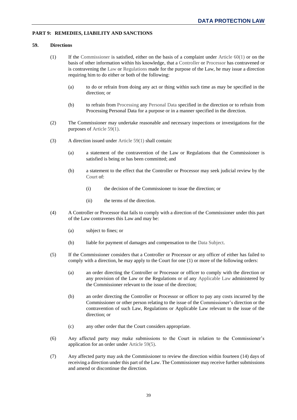## <span id="page-41-4"></span><span id="page-41-1"></span><span id="page-41-0"></span>**PART 9: REMEDIES, LIABILITY AND SANCTIONS**

#### <span id="page-41-2"></span>**59. Directions**

- (1) If the [Commissioner](#page-47-3) is satisfied, either on the basis of a complaint under Article  $60(1)$  or on the basis of other information within his knowledge, that a [Controller](#page-47-0) o[r Processor](#page-49-3) has contravened or is contravening the [Law](#page-48-0) or [Regulations](#page-49-0) made for the purpose of the Law, he may issue a direction requiring him to do either or both of the following:
	- (a) to do or refrain from doing any act or thing within such time as may be specified in the direction; or
	- (b) to refrain from [Processing](#page-49-2) any [Personal Data](#page-48-1) specified in the direction or to refrain from Processing Personal Data for a purpose or in a manner specified in the direction.
- (2) The Commissioner may undertake reasonable and necessary inspections or investigations for the purposes of [Article 59\(1\).](#page-41-2)
- (3) A direction issued under [Article 59\(1\)](#page-41-2) shall contain:
	- (a) a statement of the contravention of the Law or Regulations that the Commissioner is satisfied is being or has been committed; and
	- (b) a statement to the effect that the Controller or Processor may seek judicial review by the [Court](#page-47-5) of:
		- (i) the decision of the Commissioner to issue the direction; or
		- (ii) the terms of the direction.
- (4) A Controller or Processor that fails to comply with a direction of the Commissioner under this part of the Law contravenes this Law and may be:
	- (a) subject to fines; or
	- (b) liable for payment of damages and compensation to the [Data Subject.](#page-47-1)
- <span id="page-41-3"></span>(5) If the Commissioner considers that a Controller or Processor or any officer of either has failed to comply with a direction, he may apply to the Court for one (1) or more of the following orders:
	- (a) an order directing the Controller or Processor or officer to comply with the direction or any provision of the Law or the Regulations or of any [Applicable Law](#page-47-4) administered by the Commissioner relevant to the issue of the direction;
	- (b) an order directing the Controller or Processor or officer to pay any costs incurred by the Commissioner or other person relating to the issue of the Commissioner's direction or the contravention of such Law, Regulations or Applicable Law relevant to the issue of the direction; or
	- (c) any other order that the Court considers appropriate.
- (6) Any affected party may make submissions to the Court in relation to the Commissioner's application for an order unde[r Article 59\(5\).](#page-41-3)
- (7) Any affected party may ask the Commissioner to review the direction within fourteen (14) days of receiving a direction under this part of the Law. The Commissioner may receive further submissions and amend or discontinue the direction.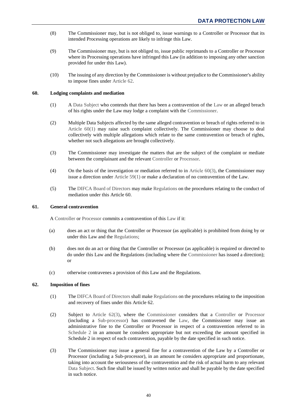- (8) The Commissioner may, but is not obliged to, issue warnings to a Controller or Processor that its intended Processing operations are likely to infringe this Law.
- (9) The Commissioner may, but is not obliged to, issue public reprimands to a Controller or Processor where its Processing operations have infringed this Law (in addition to imposing any other sanction provided for under this Law).
- (10) The issuing of any direction by the Commissioner is without prejudice to the Commissioner's ability to impose fines under [Article 62.](#page-42-2)

## <span id="page-42-3"></span><span id="page-42-0"></span>**60. Lodging complaints and mediation**

- (1) A [Data Subject](#page-47-1) who contends that there has been a contravention of the [Law](#page-48-0) or an alleged breach of his rights under the Law may lodge a complaint with the [Commissioner.](#page-47-3)
- (2) Multiple Data Subjects affected by the same alleged contravention or breach of rights referred to in [Article 60\(1\)](#page-42-3) may raise such complaint collectively. The Commissioner may choose to deal collectively with multiple allegations which relate to the same contravention or breach of rights, whether not such allegations are brought collectively.
- <span id="page-42-4"></span>(3) The Commissioner may investigate the matters that are the subject of the complaint or mediate between the complainant and the relevant [Controller](#page-47-0) or [Processor.](#page-49-3)
- (4) On the basis of the investigation or mediation referred to in [Article 60\(3\),](#page-42-4) the Commissioner may issue a direction under Article  $59(1)$  or make a declaration of no contravention of the Law.
- (5) Th[e DIFCA Board of Directors](#page-47-6) may mak[e Regulations](#page-49-0) on the procedures relating to the conduct of mediation under this Article 60.

## <span id="page-42-1"></span>**61. General contravention**

A [Controller](#page-47-0) or [Processor](#page-49-3) commits a contravention of this [Law](#page-48-0) if it:

- (a) does an act or thing that the Controller or Processor (as applicable) is prohibited from doing by or under this Law and the [Regulations;](#page-49-0)
- (b) does not do an act or thing that the Controller or Processor (as applicable) is required or directed to do under this Law and the Regulations (including where the [Commissioner](#page-47-3) has issued a direction); or
- (c) otherwise contravenes a provision of this Law and the Regulations.

## <span id="page-42-7"></span><span id="page-42-2"></span>**62. Imposition of fines**

- (1) Th[e DIFCA Board of Directors](#page-47-6) shall make [Regulations](#page-49-0) on the procedures relating to the imposition and recovery of fines under this Article 62.
- <span id="page-42-6"></span>(2) Subject to [Article 62\(3\),](#page-42-5) where the [Commissioner](#page-47-3) considers that a [Controller](#page-47-0) or [Processor](#page-49-3) (including a [Sub-processor\)](#page-49-7) has contravened the [Law,](#page-48-0) the Commissioner may issue an administrative fine to the Controller or Processor in respect of a contravention referred to in [Schedule 2](#page-51-0) in an amount he considers appropriate but not exceeding the amount specified in Schedule 2 in respect of each contravention, payable by the date specified in such notice.
- <span id="page-42-5"></span>(3) The Commissioner may issue a general fine for a contravention of the Law by a Controller or Processor (including a Sub-processor), in an amount he considers appropriate and proportionate, taking into account the seriousness of the contravention and the risk of actual harm to any relevant [Data Subject.](#page-47-1) Such fine shall be issued by written notice and shall be payable by the date specified in such notice.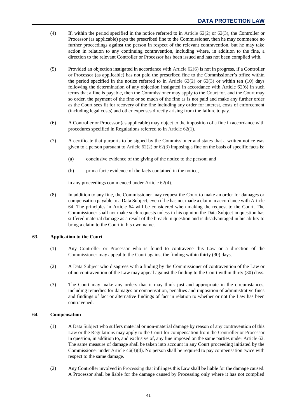- <span id="page-43-3"></span>(4) If, within the period specified in the notice referred to in [Article 62\(2\)](#page-42-6) or [62\(3\),](#page-42-5) the Controller or Processor (as applicable) pays the prescribed fine to the Commissioner, then he may commence no further proceedings against the person in respect of the relevant contravention, but he may take action in relation to any continuing contravention, including where, in addition to the fine, a direction to the relevant Controller or Processor has been issued and has not been complied with.
- (5) Provided an objection instigated in accordance with [Article 62\(6\)](#page-43-2) is not in progress, if a Controller or Processor (as applicable) has not paid the prescribed fine to the Commissioner's office within the period specified in the notice referred to in Article  $62(2)$  or  $62(3)$  or within ten (10) days following the determination of any objection instigated in accordance with Article 62(6) in such terms that a fine is payable, then the Commissioner may apply to the [Court](#page-47-5) for, and the Court may so order, the payment of the fine or so much of the fine as is not paid and make any further order as the Court sees fit for recovery of the fine including any order for interest, costs of enforcement (including legal costs) and other expenses directly arising from the failure to pay.
- <span id="page-43-2"></span>(6) A Controller or Processor (as applicable) may object to the imposition of a fine in accordance with procedures specified in Regulations referred to in [Article 62\(1\).](#page-42-7)
- (7) A certificate that purports to be signed by the Commissioner and states that a written notice was given to a person pursuant to Article  $62(2)$  or  $62(3)$  imposing a fine on the basis of specific facts is:
	- (a) conclusive evidence of the giving of the notice to the person; and
	- (b) prima facie evidence of the facts contained in the notice,

in any proceedings commenced under [Article 62\(4\).](#page-43-3)

(8) In addition to any fine, the Commissioner may request the Court to make an order for damages or compensation payable to a Data Subject, even if he has not made a claim in accordance with [Article](#page-43-1)  [64.](#page-43-1) The principles in Article 64 will be considered when making the request to the Court. The Commissioner shall not make such requests unless in his opinion the Data Subject in question has suffered material damage as a result of the breach in question and is disadvantaged in his ability to bring a claim to the Court in his own name.

## <span id="page-43-0"></span>**63. Application to the Court**

- (1) Any [Controller](#page-47-0) or [Processor](#page-49-3) who is found to contravene this [Law](#page-48-0) or a direction of the [Commissioner](#page-47-3) may appeal to the [Court](#page-47-5) against the finding within thirty (30) days.
- (2) [A Data Subject](#page-47-1) who disagrees with a finding by the Commissioner of contravention of the Law or of no contravention of the Law may appeal against the finding to the Court within thirty (30) days.
- (3) The Court may make any orders that it may think just and appropriate in the circumstances, including remedies for damages or compensation, penalties and imposition of administrative fines and findings of fact or alternative findings of fact in relation to whether or not the Law has been contravened.

## <span id="page-43-1"></span>**64. Compensation**

- (1) [A Data Subject](#page-47-1) who suffers material or non-material damage by reason of any contravention of this [Law](#page-48-0) or the [Regulations](#page-49-0) may apply to the [Court](#page-47-5) for compensation from the [Controller](#page-47-0) o[r Processor](#page-49-3) in question, in addition to, and exclusive of, any fine imposed on the same parties under [Article 62.](#page-42-2) The same measure of damage shall be taken into account in any Court proceeding initiated by the Commissioner under [Article 46\(3\)\(d\).](#page-34-0) No person shall be required to pay compensation twice with respect to the same damage.
- (2) Any Controller involved i[n Processing](#page-49-2) that infringes this Law shall be liable for the damage caused. A Processor shall be liable for the damage caused by Processing only where it has not complied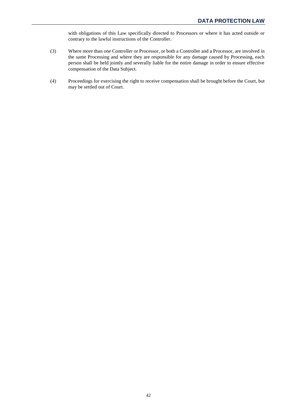with obligations of this Law specifically directed to Processors or where it has acted outside or contrary to the lawful instructions of the Controller.

- (3) Where more than one Controller or Processor, or both a Controller and a Processor, are involved in the same Processing and where they are responsible for any damage caused by Processing, each person shall be held jointly and severally liable for the entire damage in order to ensure effective compensation of the Data Subject.
- (4) Proceedings for exercising the right to receive compensation shall be brought before the Court, but may be settled out of Court.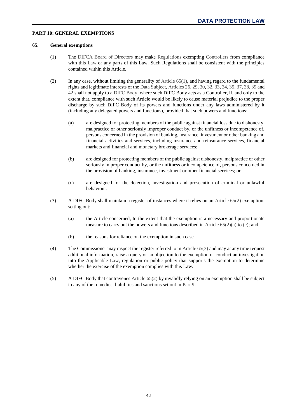## <span id="page-45-1"></span><span id="page-45-0"></span>**PART 10: GENERAL EXEMPTIONS**

## <span id="page-45-3"></span>**65. General exemptions**

- (1) The [DIFCA Board of Directors](#page-47-6) may make [Regulations](#page-49-0) exempting [Controllers](#page-47-0) from compliance with this [Law](#page-48-0) or any parts of this Law. Such Regulations shall be consistent with the principles contained within this Article.
- <span id="page-45-4"></span><span id="page-45-2"></span>(2) In any case, without limiting the generality of [Article 65\(1\),](#page-45-3) and having regard to the fundamental rights and legitimate interests of the [Data Subject,](#page-47-1) [Articles 26,](#page-19-1) [29,](#page-23-1) [30,](#page-24-0) [32,](#page-26-1) [33,](#page-26-2) [34,](#page-28-0) [35,](#page-29-0) [37,](#page-29-2) [38,](#page-30-0) [39](#page-30-1) and [42](#page-32-2) shall not apply to a [DIFC Body,](#page-48-3) where such DIFC Body acts as a Controller, if, and only to the extent that, compliance with such Article would be likely to cause material prejudice to the proper discharge by such DIFC Body of its powers and functions under any laws administered by it (including any delegated powers and functions), provided that such powers and functions:
	- (a) are designed for protecting members of the public against financial loss due to dishonesty, malpractice or other seriously improper conduct by, or the unfitness or incompetence of, persons concerned in the provision of banking, insurance, investment or other banking and financial activities and services, including insurance and reinsurance services, financial markets and financial and monetary brokerage services;
	- (b) are designed for protecting members of the public against dishonesty, malpractice or other seriously improper conduct by, or the unfitness or incompetence of, persons concerned in the provision of banking, insurance, investment or other financial services; or
	- (c) are designed for the detection, investigation and prosecution of criminal or unlawful behaviour.
- <span id="page-45-6"></span><span id="page-45-5"></span>(3) A DIFC Body shall maintain a register of instances where it relies on an [Article 65\(2\)](#page-45-2) exemption, setting out:
	- (a) the Article concerned, to the extent that the exemption is a necessary and proportionate measure to carry out the powers and functions described in [Article 65\(2\)\(a\)](#page-45-4) to [\(c\);](#page-45-5) and
	- (b) the reasons for reliance on the exemption in such case.
- (4) The Commissioner may inspect the register referred to in [Article 65\(3\)](#page-45-6) and may at any time request additional information, raise a query or an objection to the exemption or conduct an investigation into the [Applicable Law,](#page-47-4) regulation or public policy that supports the exemption to determine whether the exercise of the exemption complies with this Law.
- (5) A DIFC Body that contravenes [Article 65\(2\)](#page-45-2) by invalidly relying on an exemption shall be subject to any of the remedies, liabilities and sanctions set out in [Part 9.](#page-41-4)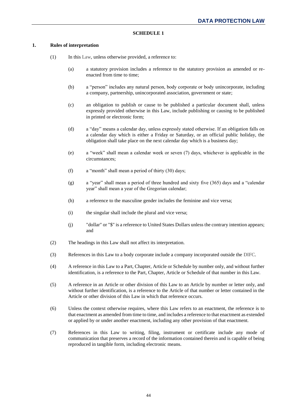## <span id="page-46-1"></span>**SCHEDULE 1**

## <span id="page-46-0"></span>**1. Rules of interpretation**

- (1) In thi[s Law,](#page-48-0) unless otherwise provided, a reference to:
	- (a) a statutory provision includes a reference to the statutory provision as amended or reenacted from time to time;
	- (b) a "person" includes any natural person, body corporate or body unincorporate, including a company, partnership, unincorporated association, government or state;
	- (c) an obligation to publish or cause to be published a particular document shall, unless expressly provided otherwise in this Law, include publishing or causing to be published in printed or electronic form;
	- (d) a "day" means a calendar day, unless expressly stated otherwise. If an obligation falls on a calendar day which is either a Friday or Saturday, or an official public holiday, the obligation shall take place on the next calendar day which is a business day;
	- (e) a "week" shall mean a calendar week or seven (7) days, whichever is applicable in the circumstances;
	- (f) a "month" shall mean a period of thirty (30) days;
	- (g) a "year" shall mean a period of three hundred and sixty five (365) days and a "calendar year" shall mean a year of the Gregorian calendar;
	- (h) a reference to the masculine gender includes the feminine and vice versa;
	- (i) the singular shall include the plural and vice versa;
	- (j) "dollar" or "\$" is a reference to United States Dollars unless the contrary intention appears; and
- (2) The headings in this Law shall not affect its interpretation.
- (3) References in this Law to a body corporate include a company incorporated outside the [DIFC.](#page-47-2)
- (4) A reference in this Law to a Part, Chapter, Article or Schedule by number only, and without further identification, is a reference to the Part, Chapter, Article or Schedule of that number in this Law.
- (5) A reference in an Article or other division of this Law to an Article by number or letter only, and without further identification, is a reference to the Article of that number or letter contained in the Article or other division of this Law in which that reference occurs.
- (6) Unless the context otherwise requires, where this Law refers to an enactment, the reference is to that enactment as amended from time to time, and includes a reference to that enactment as extended or applied by or under another enactment, including any other provision of that enactment.
- (7) References in this Law to writing, filing, instrument or certificate include any mode of communication that preserves a record of the information contained therein and is capable of being reproduced in tangible form, including electronic means.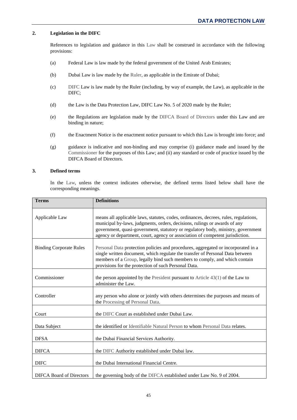## **2. Legislation in the DIFC**

References to legislation and guidance in this [Law](#page-48-0) shall be construed in accordance with the following provisions:

- (a) Federal Law is law made by the federal government of the United Arab Emirates;
- (b) Dubai Law is law made by the [Ruler,](#page-49-1) as applicable in the Emirate of Dubai;
- (c) [DIFC](#page-47-2) Law is law made by the Ruler (including, by way of example, the Law), as applicable in the DIFC;
- <span id="page-47-10"></span>(d) the Law is the Data Protection Law, DIFC Law No. 5 of 2020 made by the Ruler;
- (e) the Regulations are legislation made by the [DIFCA Board of Directors](#page-47-6) under this Law and are binding in nature;
- (f) the Enactment Notice is the enactment notice pursuant to which this Law is brought into force; and
- (g) guidance is indicative and non-binding and may comprise (i) guidance made and issued by the [Commissioner](#page-47-3) for the purposes of this Law; and (ii) any standard or code of practice issued by the DIFCA Board of Directors.

## **3. Defined terms**

In the [Law,](#page-48-0) unless the context indicates otherwise, the defined terms listed below shall have the corresponding meanings.

<span id="page-47-9"></span><span id="page-47-8"></span><span id="page-47-7"></span><span id="page-47-6"></span><span id="page-47-5"></span><span id="page-47-4"></span><span id="page-47-3"></span><span id="page-47-2"></span><span id="page-47-1"></span><span id="page-47-0"></span>

| <b>Terms</b>                    | <b>Definitions</b>                                                                                                                                                                                                                                                                                                                     |
|---------------------------------|----------------------------------------------------------------------------------------------------------------------------------------------------------------------------------------------------------------------------------------------------------------------------------------------------------------------------------------|
| Applicable Law                  | means all applicable laws, statutes, codes, ordinances, decrees, rules, regulations,<br>municipal by-laws, judgments, orders, decisions, rulings or awards of any<br>government, quasi-government, statutory or regulatory body, ministry, government<br>agency or department, court, agency or association of competent jurisdiction. |
| <b>Binding Corporate Rules</b>  | Personal Data protection policies and procedures, aggregated or incorporated in a<br>single written document, which regulate the transfer of Personal Data between<br>members of a Group, legally bind such members to comply, and which contain<br>provisions for the protection of such Personal Data.                               |
| Commissioner                    | the person appointed by the President pursuant to Article $43(1)$ of the Law to<br>administer the Law.                                                                                                                                                                                                                                 |
| Controller                      | any person who alone or jointly with others determines the purposes and means of<br>the Processing of Personal Data.                                                                                                                                                                                                                   |
| Court                           | the DIFC Court as established under Dubai Law.                                                                                                                                                                                                                                                                                         |
| Data Subject                    | the identified or Identifiable Natural Person to whom Personal Data relates.                                                                                                                                                                                                                                                           |
| <b>DFSA</b>                     | the Dubai Financial Services Authority.                                                                                                                                                                                                                                                                                                |
| <b>DIFCA</b>                    | the DIFC Authority established under Dubai law.                                                                                                                                                                                                                                                                                        |
| <b>DIFC</b>                     | the Dubai International Financial Centre.                                                                                                                                                                                                                                                                                              |
| <b>DIFCA Board of Directors</b> | the governing body of the DIFCA established under Law No. 9 of 2004.                                                                                                                                                                                                                                                                   |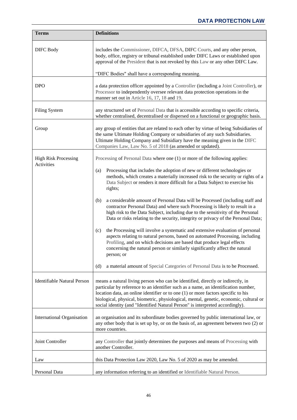<span id="page-48-9"></span><span id="page-48-8"></span><span id="page-48-7"></span><span id="page-48-6"></span><span id="page-48-5"></span><span id="page-48-4"></span><span id="page-48-3"></span><span id="page-48-2"></span><span id="page-48-1"></span><span id="page-48-0"></span>

| <b>Terms</b>                              | <b>Definitions</b>                                                                                                                                                                                                                                                                                                                                                                                                                    |
|-------------------------------------------|---------------------------------------------------------------------------------------------------------------------------------------------------------------------------------------------------------------------------------------------------------------------------------------------------------------------------------------------------------------------------------------------------------------------------------------|
| <b>DIFC Body</b>                          | includes the Commissioner, DIFCA, DFSA, DIFC Courts, and any other person,<br>body, office, registry or tribunal established under DIFC Laws or established upon<br>approval of the President that is not revoked by this Law or any other DIFC Law.<br>"DIFC Bodies" shall have a corresponding meaning.                                                                                                                             |
|                                           |                                                                                                                                                                                                                                                                                                                                                                                                                                       |
| <b>DPO</b>                                | a data protection officer appointed by a Controller (including a Joint Controller), or<br>Processor to independently oversee relevant data protection operations in the<br>manner set out in Article 16, 17, 18 and 19.                                                                                                                                                                                                               |
| <b>Filing System</b>                      | any structured set of Personal Data that is accessible according to specific criteria,<br>whether centralised, decentralised or dispersed on a functional or geographic basis.                                                                                                                                                                                                                                                        |
| Group                                     | any group of entities that are related to each other by virtue of being Subsidiaries of<br>the same Ultimate Holding Company or subsidiaries of any such Subsidiaries.<br>Ultimate Holding Company and Subsidiary have the meaning given in the DIFC<br>Companies Law, Law No. 5 of 2018 (as amended or updated).                                                                                                                     |
| <b>High Risk Processing</b><br>Activities | Processing of Personal Data where one (1) or more of the following applies:                                                                                                                                                                                                                                                                                                                                                           |
|                                           | Processing that includes the adoption of new or different technologies or<br>(a)<br>methods, which creates a materially increased risk to the security or rights of a<br>Data Subject or renders it more difficult for a Data Subject to exercise his<br>rights;                                                                                                                                                                      |
|                                           | a considerable amount of Personal Data will be Processed (including staff and<br>(b)<br>contractor Personal Data) and where such Processing is likely to result in a<br>high risk to the Data Subject, including due to the sensitivity of the Personal<br>Data or risks relating to the security, integrity or privacy of the Personal Data;                                                                                         |
|                                           | the Processing will involve a systematic and extensive evaluation of personal<br>(c)<br>aspects relating to natural persons, based on automated Processing, including<br>Profiling, and on which decisions are based that produce legal effects<br>concerning the natural person or similarly significantly affect the natural<br>person; or                                                                                          |
|                                           | a material amount of Special Categories of Personal Data is to be Processed.<br>(d)                                                                                                                                                                                                                                                                                                                                                   |
| <b>Identifiable Natural Person</b>        | means a natural living person who can be identified, directly or indirectly, in<br>particular by reference to an identifier such as a name, an identification number,<br>location data, an online identifier or to one (1) or more factors specific to his<br>biological, physical, biometric, physiological, mental, genetic, economic, cultural or<br>social identity (and "Identified Natural Person" is interpreted accordingly). |
| <b>International Organisation</b>         | an organisation and its subordinate bodies governed by public international law, or<br>any other body that is set up by, or on the basis of, an agreement between two (2) or<br>more countries.                                                                                                                                                                                                                                       |
| Joint Controller                          | any Controller that jointly determines the purposes and means of Processing with<br>another Controller.                                                                                                                                                                                                                                                                                                                               |
| Law                                       | this Data Protection Law 2020, Law No. 5 of 2020 as may be amended.                                                                                                                                                                                                                                                                                                                                                                   |
| Personal Data                             | any information referring to an identified or Identifiable Natural Person.                                                                                                                                                                                                                                                                                                                                                            |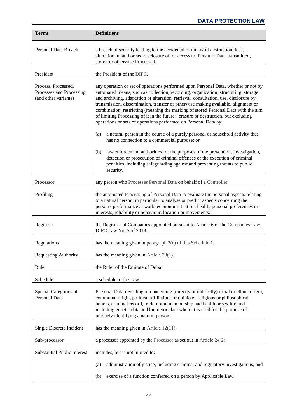<span id="page-49-11"></span><span id="page-49-10"></span><span id="page-49-9"></span><span id="page-49-8"></span><span id="page-49-7"></span><span id="page-49-6"></span><span id="page-49-5"></span><span id="page-49-4"></span><span id="page-49-3"></span><span id="page-49-2"></span><span id="page-49-1"></span><span id="page-49-0"></span>

| <b>Terms</b>                                                            | <b>Definitions</b>                                                                                                                                                                                                                                                                                                                                                                                                                                                                                                                                                                                   |
|-------------------------------------------------------------------------|------------------------------------------------------------------------------------------------------------------------------------------------------------------------------------------------------------------------------------------------------------------------------------------------------------------------------------------------------------------------------------------------------------------------------------------------------------------------------------------------------------------------------------------------------------------------------------------------------|
| Personal Data Breach                                                    | a breach of security leading to the accidental or unlawful destruction, loss,<br>alteration, unauthorised disclosure of, or access to, Personal Data transmitted,<br>stored or otherwise Processed.                                                                                                                                                                                                                                                                                                                                                                                                  |
| President                                                               | the President of the DIFC.                                                                                                                                                                                                                                                                                                                                                                                                                                                                                                                                                                           |
| Process, Processed,<br>Processes and Processing<br>(and other variants) | any operation or set of operations performed upon Personal Data, whether or not by<br>automated means, such as collection, recording, organization, structuring, storage<br>and archiving, adaptation or alteration, retrieval, consultation, use, disclosure by<br>transmission, dissemination, transfer or otherwise making available, alignment or<br>combination, restricting (meaning the marking of stored Personal Data with the aim<br>of limiting Processing of it in the future), erasure or destruction, but excluding<br>operations or sets of operations performed on Personal Data by: |
|                                                                         | a natural person in the course of a purely personal or household activity that<br>(a)<br>has no connection to a commercial purpose; or                                                                                                                                                                                                                                                                                                                                                                                                                                                               |
|                                                                         | law enforcement authorities for the purposes of the prevention, investigation,<br>(b)<br>detection or prosecution of criminal offences or the execution of criminal<br>penalties, including safeguarding against and preventing threats to public<br>security.                                                                                                                                                                                                                                                                                                                                       |
| Processor                                                               | any person who Processes Personal Data on behalf of a Controller.                                                                                                                                                                                                                                                                                                                                                                                                                                                                                                                                    |
| Profiling                                                               | the automated Processing of Personal Data to evaluate the personal aspects relating<br>to a natural person, in particular to analyse or predict aspects concerning the<br>person's performance at work, economic situation, health, personal preferences or<br>interests, reliability or behaviour, location or movements.                                                                                                                                                                                                                                                                           |
| Registrar                                                               | the Registrar of Companies appointed pursuant to Article 6 of the Companies Law,<br>DIFC Law No. 5 of 2018.                                                                                                                                                                                                                                                                                                                                                                                                                                                                                          |
| Regulations                                                             | has the meaning given in paragraph $2(e)$ of this Schedule 1.                                                                                                                                                                                                                                                                                                                                                                                                                                                                                                                                        |
| <b>Requesting Authority</b>                                             | has the meaning given in Article $28(1)$ .                                                                                                                                                                                                                                                                                                                                                                                                                                                                                                                                                           |
| Ruler                                                                   | the Ruler of the Emirate of Dubai.                                                                                                                                                                                                                                                                                                                                                                                                                                                                                                                                                                   |
| Schedule                                                                | a schedule to the Law.                                                                                                                                                                                                                                                                                                                                                                                                                                                                                                                                                                               |
| Special Categories of<br>Personal Data                                  | Personal Data revealing or concerning (directly or indirectly) racial or ethnic origin,<br>communal origin, political affiliations or opinions, religious or philosophical<br>beliefs, criminal record, trade-union membership and health or sex life and<br>including genetic data and biometric data where it is used for the purpose of<br>uniquely identifying a natural person.                                                                                                                                                                                                                 |
| Single Discrete Incident                                                | has the meaning given in Article $12(11)$ .                                                                                                                                                                                                                                                                                                                                                                                                                                                                                                                                                          |
| Sub-processor                                                           | a processor appointed by the Processor as set out in Article $24(2)$ .                                                                                                                                                                                                                                                                                                                                                                                                                                                                                                                               |
| <b>Substantial Public Interest</b>                                      | includes, but is not limited to:                                                                                                                                                                                                                                                                                                                                                                                                                                                                                                                                                                     |
|                                                                         | administration of justice, including criminal and regulatory investigations; and<br>(a)                                                                                                                                                                                                                                                                                                                                                                                                                                                                                                              |
|                                                                         | exercise of a function conferred on a person by Applicable Law.<br>(b)                                                                                                                                                                                                                                                                                                                                                                                                                                                                                                                               |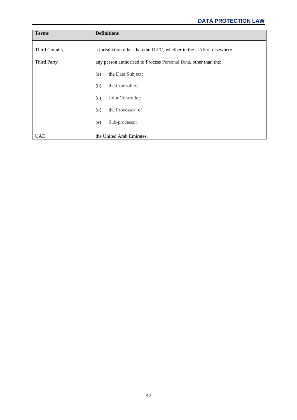<span id="page-50-2"></span><span id="page-50-1"></span><span id="page-50-0"></span>

| <b>Terms</b>       | <b>Definitions</b>                                                   |
|--------------------|----------------------------------------------------------------------|
| Third Country      | a jurisdiction other than the DIFC, whether in the UAE or elsewhere. |
| <b>Third Party</b> | any person authorised to Process Personal Data, other than the:      |
|                    | the Data Subject;<br>(a)                                             |
|                    | the Controller;<br>(b)                                               |
|                    | Joint Controller;<br>(c)                                             |
|                    | (d)<br>the Processor; or                                             |
|                    | Sub-processor.<br>(e)                                                |
| <b>UAE</b>         | the United Arab Emirates.                                            |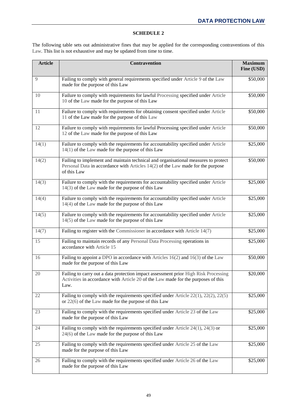## **SCHEDULE 2**

<span id="page-51-0"></span>The following table sets out administrative fines that may be applied for the corresponding contraventions of this [Law.](#page-48-0) This list is not exhaustive and may be updated from time to time.

| <b>Article</b> | <b>Contravention</b>                                                                                                                                                                 | <b>Maximum</b><br>Fine (USD) |
|----------------|--------------------------------------------------------------------------------------------------------------------------------------------------------------------------------------|------------------------------|
| 9              | Failing to comply with general requirements specified under Article 9 of the Law<br>made for the purpose of this Law                                                                 | \$50,000                     |
| 10             | Failure to comply with requirements for lawful Processing specified under Article<br>10 of the Law made for the purpose of this Law                                                  | \$50,000                     |
| 11             | Failure to comply with requirements for obtaining consent specified under Article<br>11 of the Law made for the purpose of this Law                                                  | \$50,000                     |
| 12             | Failure to comply with requirements for lawful Processing specified under Article<br>12 of the Law made for the purpose of this Law                                                  | \$50,000                     |
| 14(1)          | Failure to comply with the requirements for accountability specified under Article<br>$14(1)$ of the Law made for the purpose of this Law                                            | \$25,000                     |
| 14(2)          | Failing to implement and maintain technical and organisational measures to protect<br>Personal Data in accordance with Articles 14(2) of the Law made for the purpose<br>of this Law | \$50,000                     |
| 14(3)          | Failure to comply with the requirements for accountability specified under Article<br>$14(3)$ of the Law made for the purpose of this Law                                            | \$25,000                     |
| 14(4)          | Failure to comply with the requirements for accountability specified under Article<br>14(4) of the Law made for the purpose of this Law                                              | \$25,000                     |
| 14(5)          | Failure to comply with the requirements for accountability specified under Article<br>$14(5)$ of the Law made for the purpose of this Law                                            | \$25,000                     |
| 14(7)          | Failing to register with the Commissioner in accordance with Article 14(7)                                                                                                           | \$25,000                     |
| 15             | Failing to maintain records of any Personal Data Processing operations in<br>accordance with Article 15                                                                              | \$25,000                     |
| 16             | Failing to appoint a DPO in accordance with Articles $16(2)$ and $16(3)$ of the Law<br>made for the purpose of this Law                                                              | \$50,000                     |
| 20             | Failing to carry out a data protection impact assessment prior High Risk Processing<br>Activities in accordance with Article 20 of the Law made for the purposes of this<br>Law.     | \$20,000                     |
| 22             | Failing to comply with the requirements specified under Article $22(1)$ , $22(2)$ , $22(5)$<br>or $22(6)$ of the Law made for the purpose of this Law                                | \$25,000                     |
| 23             | Failing to comply with the requirements specified under Article 23 of the Law<br>made for the purpose of this Law                                                                    | \$25,000                     |
| 24             | Failing to comply with the requirements specified under Article $24(1)$ , $24(3)$ or<br>24(6) of the Law made for the purpose of this Law                                            | \$25,000                     |
| 25             | Failing to comply with the requirements specified under Article 25 of the Law<br>made for the purpose of this Law                                                                    | \$25,000                     |
| 26             | Failing to comply with the requirements specified under Article 26 of the Law<br>made for the purpose of this Law                                                                    | \$25,000                     |